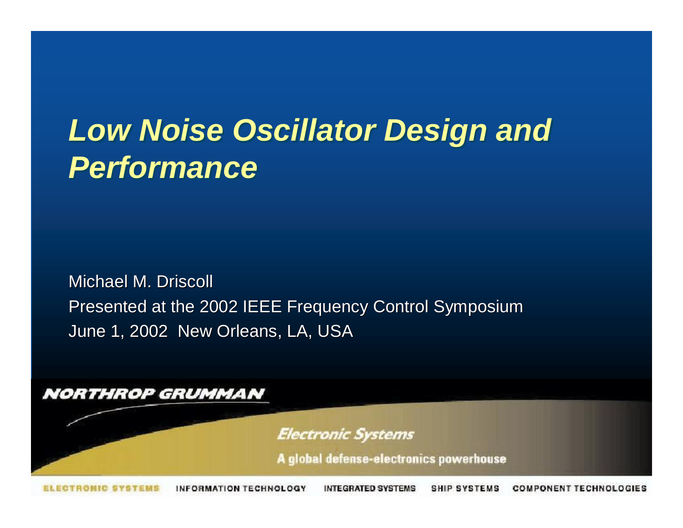# *Low Noise Oscillator Design and Low Noise Oscillator Design and Performance Performance*

Michael M. Driscoll Presented at the 2002 IEEE Frequency Control Symposium June 1, 2002 New Orleans, LA, USA

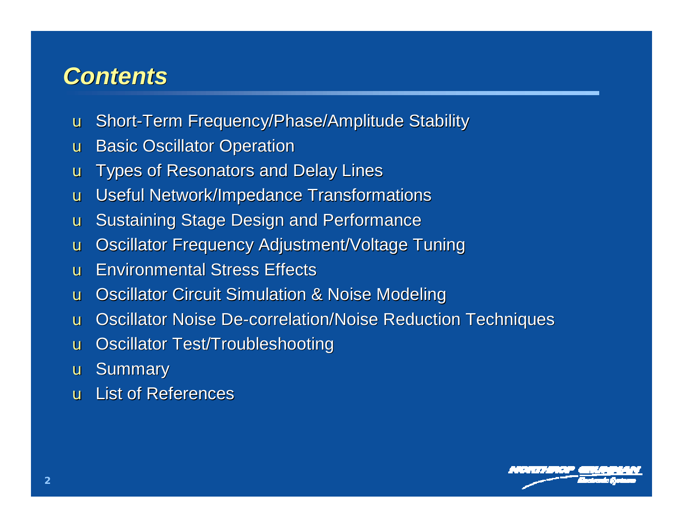#### *Contents*

- u Short-Term Frequency/Phase/Amplitude Stability
- u Basic Oscillator Operation
- u Types of Resonators and Delay Lines
- u Useful Network/Impedance Transformations
- u Sustaining Stage Design and Performance
- u Oscillator Frequency Adjustment/Voltage Tuning
- u Environmental Stress Effects
- u Oscillator Circuit Simulation & Noise Modeling
- u Oscillator Noise De-correlation/Noise Reduction Techniques
- u Oscillator Test/Troubleshooting
- u Summary
- u List of References

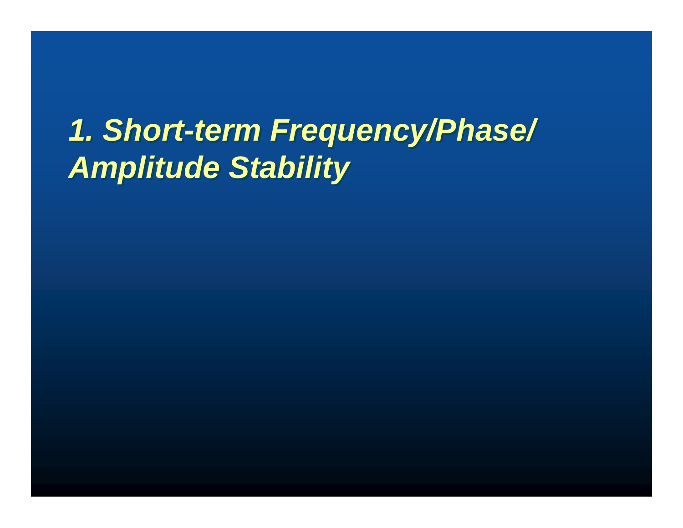# *1. Short-term Frequency/Phase/ 1. Short-term Frequency/Phase/ Amplitude Stability Amplitude Stability*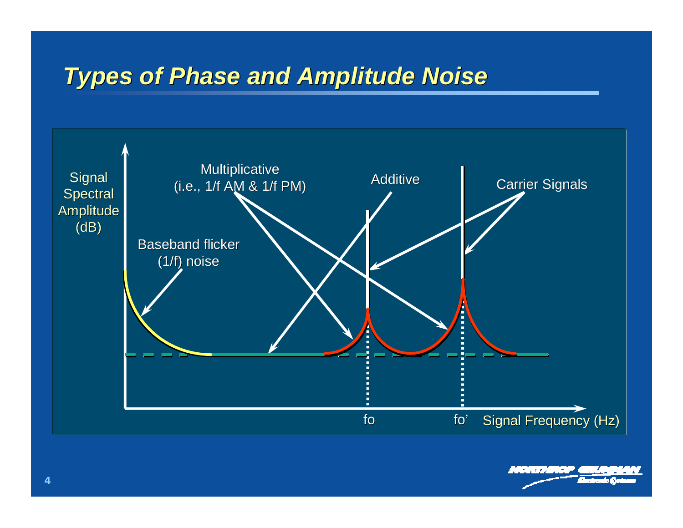#### *Types of Phase and Amplitude Noise*

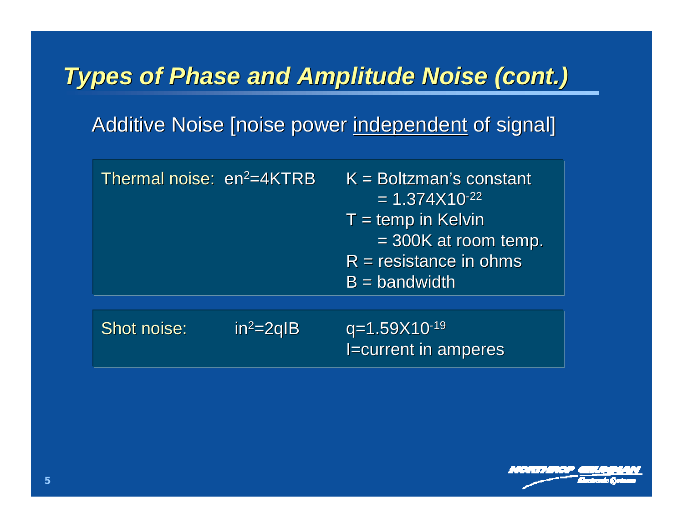### *Types of Phase and Amplitude Noise (cont.)*

Additive Noise [noise power independent of signal]

| Thermal noise: en <sup>2</sup> =4KTRB | $K = Boltzman's constant$<br>$= 1.374X10^{-22}$                                     |
|---------------------------------------|-------------------------------------------------------------------------------------|
|                                       | $\mathsf{T}$ = temp in Kelvin<br>$=$ 300K at room temp.<br>$R =$ resistance in ohms |
|                                       | $B =$ bandwidth                                                                     |
|                                       |                                                                                     |

Shot noise:  $in^2=2qIB$   $q=1.59X10^{-19}$ **I=current in amperes**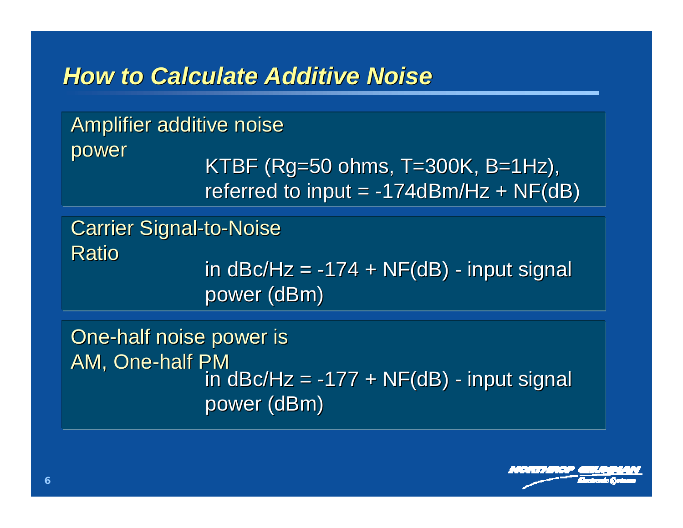#### *How to Calculate Additive Noise*

# Amplifier additive noise power

KTBF (Rg=50 ohms, T=300K, B=1Hz), referred to input  $= -174$ dBm/Hz + NF(dB)

#### Carrier Signal-to-Noise **Ratio**

in dBc/Hz =  $-174 + NF$ (dB) - input signal power (dBm)

One-half noise power is AM, One-half PM in dBc/Hz =  $-177 + NF$ (dB) - input signal power (dBm)

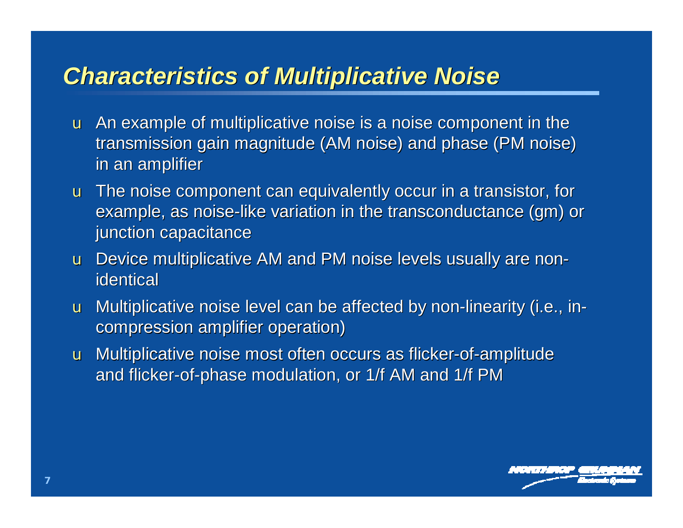#### *Characteristics of Multiplicative Noise*

- u An example of multiplicative noise is a noise component in the transmission gain magnitude (AM noise) and phase (PM noise) in an amplifier
- u The noise component can equivalently occur in a transistor, for example, as noise-like variation in the transconductance (gm) or junction capacitance
- u Device multiplicative AM and PM noise levels usually are nonidentical
- u Multiplicative noise level can be affected by non-linearity (i.e., incompression amplifier operation)
- u Multiplicative noise most often occurs as flicker-of-amplitude and flicker-of-phase modulation, or 1/f AM and 1/f PM

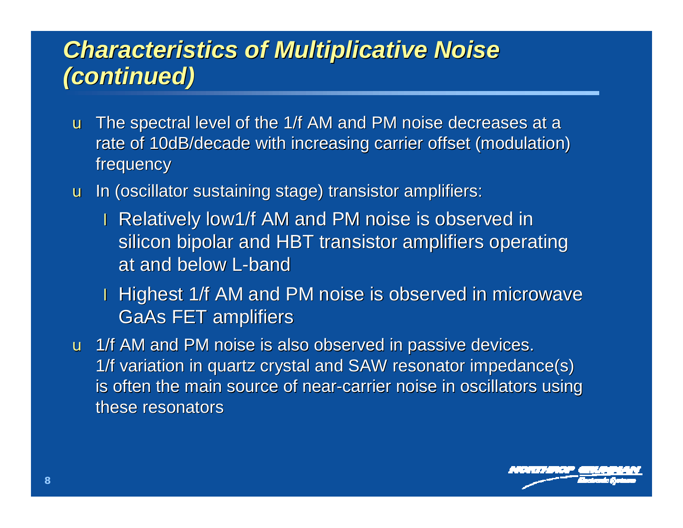### *Characteristics of Multiplicative Noise (continued)*

- u The spectral level of the 1/f AM and PM noise decreases at a rate of 10dB/decade with increasing carrier offset (modulation) frequency
- u In (oscillator sustaining stage) transistor amplifiers:
	- **I** Relatively low1/f AM and PM noise is observed in silicon bipolar and HBT transistor amplifiers operating at and below L-band
	- **I** Highest 1/f AM and PM noise is observed in microwave GaAs FET amplifiers
- u 1/f AM and PM noise is also observed in passive devices. 1/f variation in quartz crystal and SAW resonator impedance(s) is often the main source of near-carrier noise in oscillators using these resonators

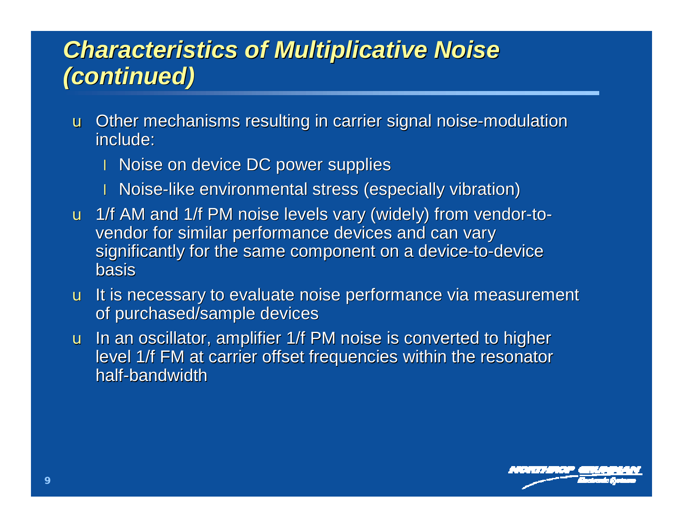## *Characteristics of Multiplicative Noise (continued)*

- u Other mechanisms resulting in carrier signal noise-modulation include:
	- I Noise on device DC power supplies
	- l Noise-like environmental stress (especially vibration)
- u 1/f AM and 1/f PM noise levels vary (widely) from vendor-tovendor for similar performance devices and can vary significantly for the same component on a device-to-device basis
- u It is necessary to evaluate noise performance via measurement of purchased/sample devices
- u In an oscillator, amplifier 1/f PM noise is converted to higher level 1/f FM at carrier offset frequencies within the resonator half-bandwidth

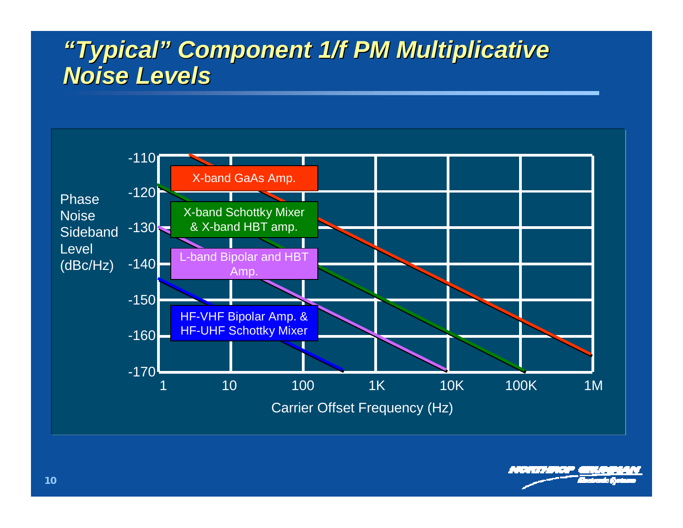#### *"Typical" Component 1/f PM Multiplicative Noise Levels*



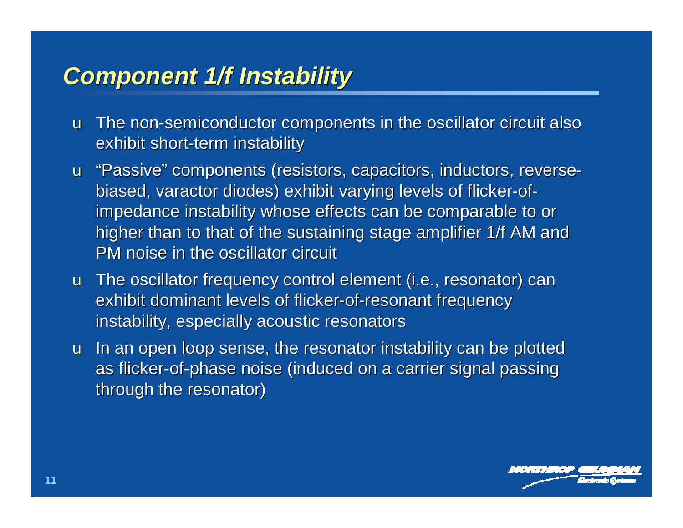#### *Component 1/f Instability*

- u The non-semiconductor components in the oscillator circuit also exhibit short-term instability
- u "Passive" components (resistors, capacitors, inductors, reversebiased, varactor diodes) exhibit varying levels of flicker-ofimpedance instability whose effects can be comparable to or higher than to that of the sustaining stage amplifier 1/f AM and PM noise in the oscillator circuit
- u The oscillator frequency control element (i.e., resonator) can exhibit dominant levels of flicker-of-resonant frequency instability, especially acoustic resonators
- u In an open loop sense, the resonator instability can be plotted as flicker-of-phase noise (induced on a carrier signal passing through the resonator)

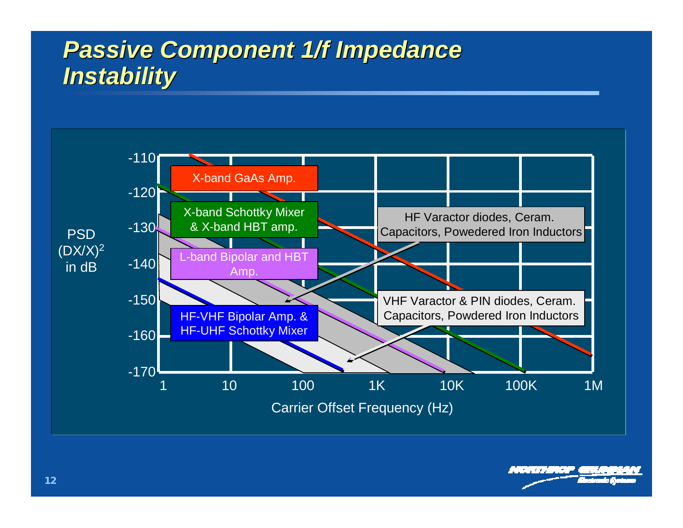### *Passive Component 1/f Impedance Instability*

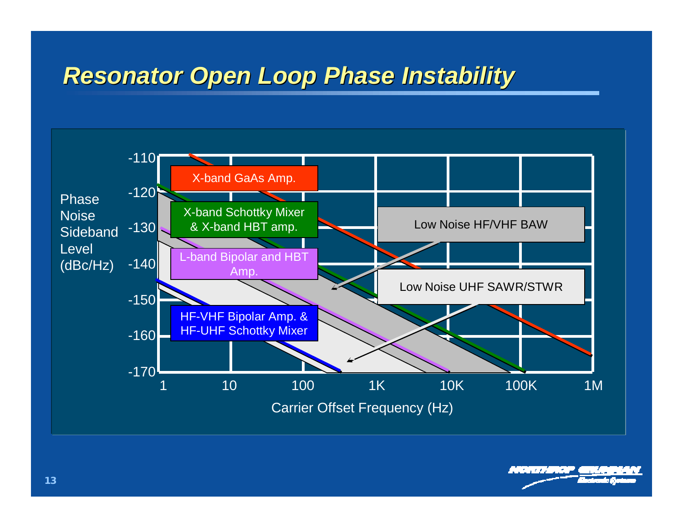#### *Resonator Open Loop Phase Instability*

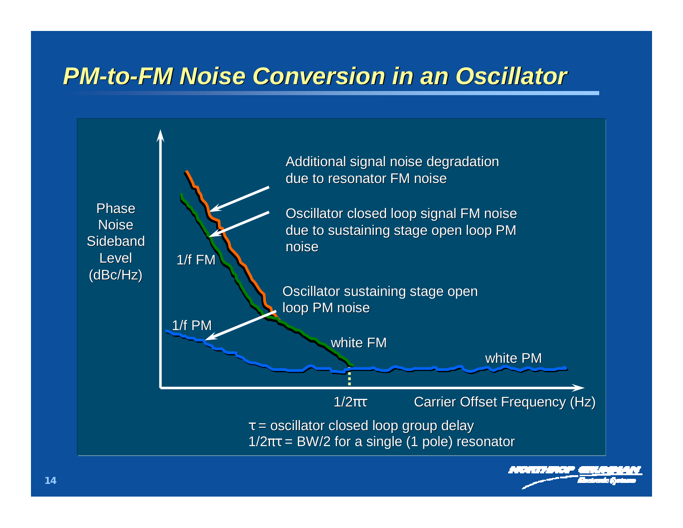#### *PM-to-FM Noise Conversion in an Oscillator*

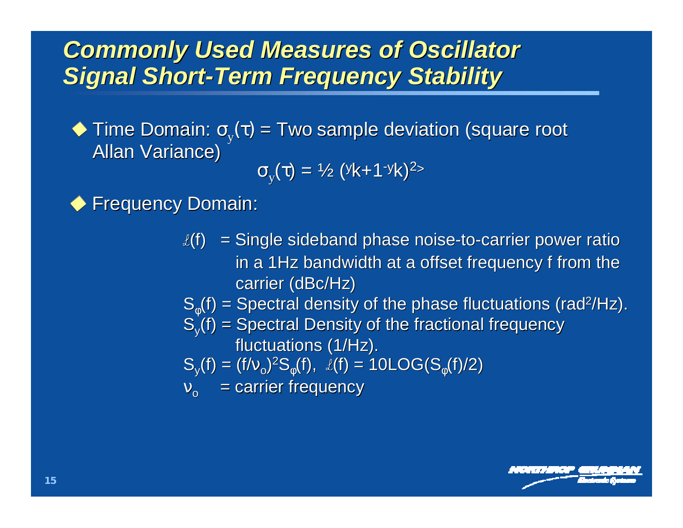#### *Commonly Used Measures of Oscillator Signal Short-Term Frequency Stability*

Time Domain:  $\sigma_y(\tau)$  = Two sample deviation (square root Allan Variance)

 $\sigma_{\rm y}^{\rm (t)}$  = ½ (<sup>y</sup>k+1<sup>-y</sup>k)<sup>2</sup>>

Frequency Domain:

 $\ell(f)$  = Single sideband phase noise-to-carrier power ratio in a 1Hz bandwidth at a offset frequency f from the carrier (dBc/Hz)

 $S_{\phi}(\mathsf{f}) =$  Spectral density of the phase fluctuations (rad $^2$ /Hz).

 $\mathbf{S}_{\mathsf{y}}(\mathsf{f})$  = Spectral Density of the fractional frequency fluctuations (1/Hz).

$$
S_{y}(f) = (f/v_{o})^{2}S_{\phi}(f), \quad \lambda(f) = 10LOG(S_{\phi}(f)/2)
$$

 $V_{\rm o}$ = carrier frequency

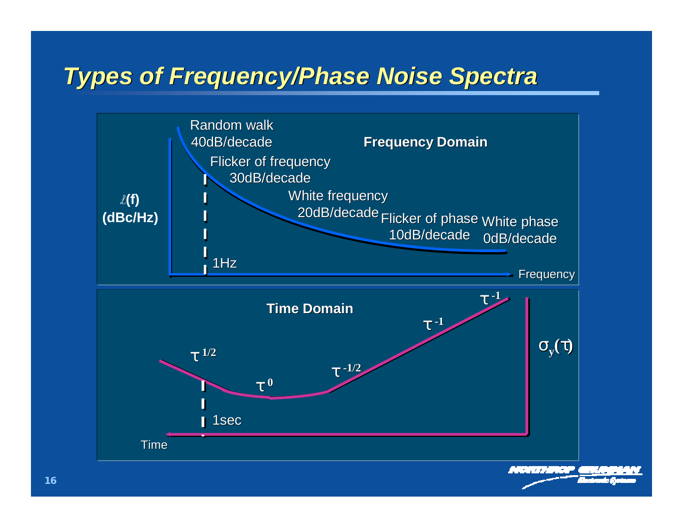#### *Types of Frequency/Phase Noise Spectra*

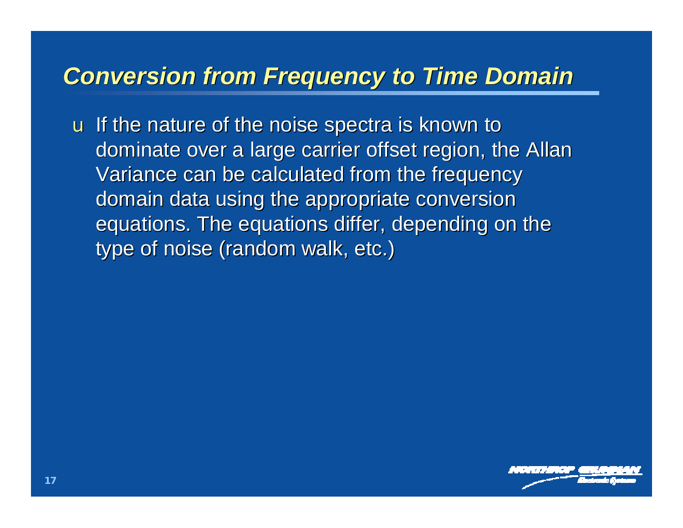#### *Conversion from Frequency to Time Domain*

u If the nature of the noise spectra is known to dominate over a large carrier offset region, the Allan Variance can be calculated from the frequency domain data using the appropriate conversion equations. The equations differ, depending on the type of noise (random walk, etc.)

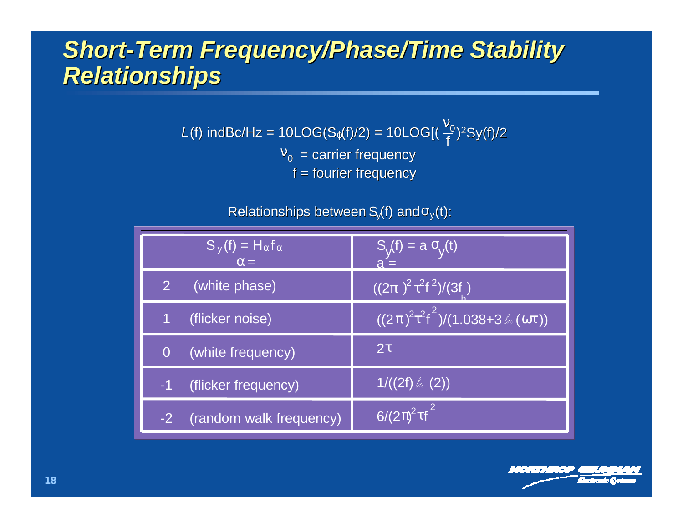#### *Short-Term Frequency/Phase/Time Stability Relationships*

 $v_0$  = carrier frequency f = fourier frequency  $V_0$  $L(f)$  indBc/Hz = 10LOG(S<sub>φ</sub>(f)/2) = 10LOG[( $\frac{f_0}{f}$ )<sup>2</sup>Sy(f)/2

#### Relationships between  $S_y(f)$  and  $\sigma_y(f)$ :

| $S_{v}(f) = H_{\alpha}f_{\alpha}$<br>$\alpha =$ | $S_y(f) = a \sigma_y(t)$<br>$a =$                 |
|-------------------------------------------------|---------------------------------------------------|
| 2 <sup>1</sup><br>(white phase)                 | $((2\pi)^2 \tau^2 f^2)/(3f)$                      |
| (flicker noise)<br>$\mathbf 1$                  | $((2\pi)^2 \tau^2 f^2)/(1.038+3\ln(\omega \tau))$ |
| (white frequency)<br>$\overline{0}$             | $2\tau$                                           |
| (flicker frequency)<br>$-1$                     | $1/((2f)$ ln $(2))$                               |
| (random walk frequency)<br>$-2$                 | $6/(2\pi)^2 \tau f^2$                             |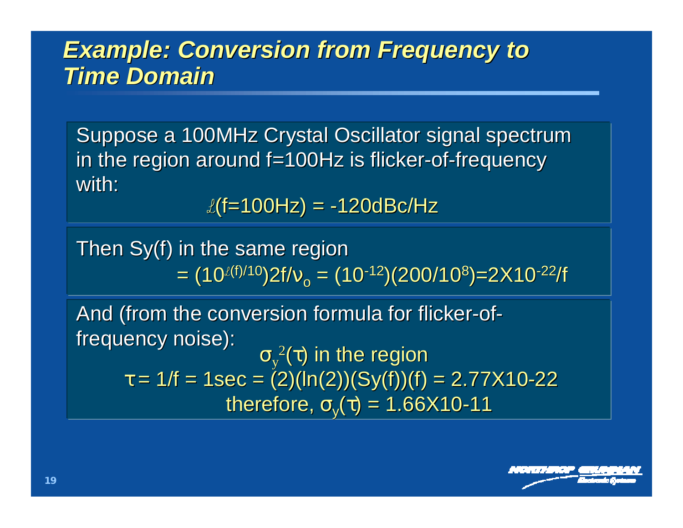#### *Example: Conversion from Frequency to Time Domain*

Suppose a 100MHz Crystal Oscillator signal spectrum in the region around f=100Hz is flicker-of-frequency with:

 $\ell$ (f=100Hz) = -120dBc/Hz

Then Sy(f) in the same region  $= (10^{2(f)/10})2f/v_0 = (10^{-12})(200/10^8) = 2X10^{-22}/f$ 

And (from the conversion formula for flicker-offrequency noise): σy 2 (τ) in the region  $\tau = 1/f = 1$ sec = (2)(ln(2))(Sy(f))(f) = 2.77X10-22 therefore,  $\sigma_y(\tau)$  = 1.66X10-11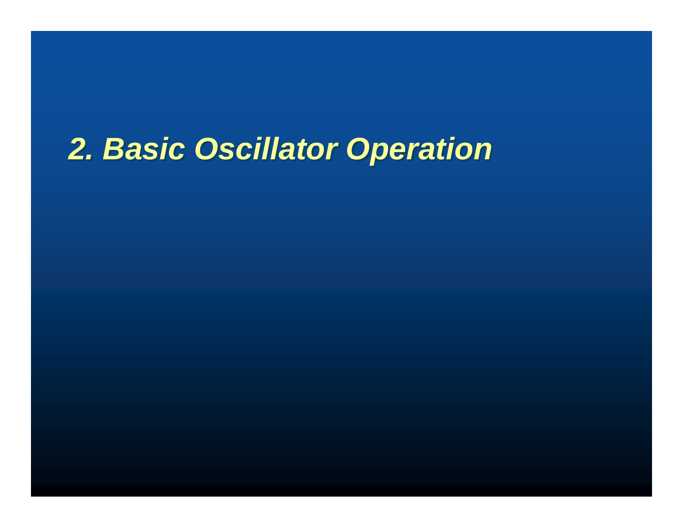# *2. Basic Oscillator Operation*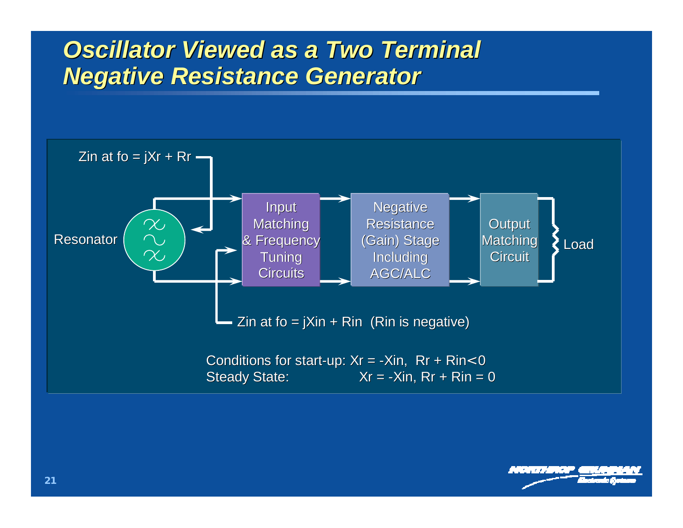#### *Oscillator Viewed as a Two Terminal Negative Resistance Generator*

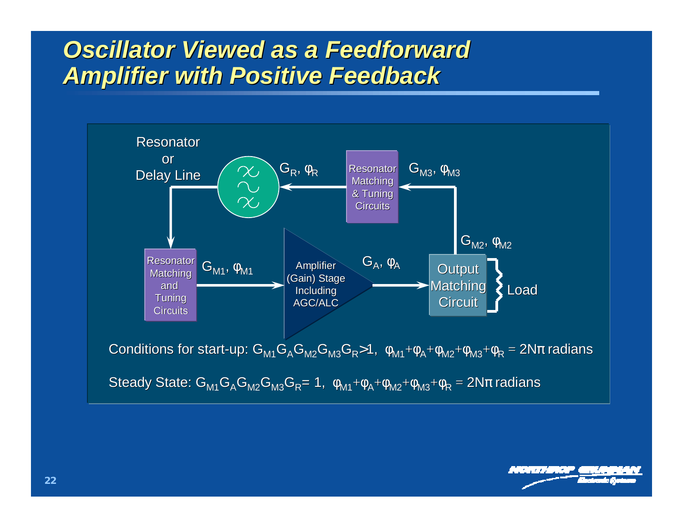#### *Oscillator Viewed as a Feedforward Amplifier with Positive Feedback*



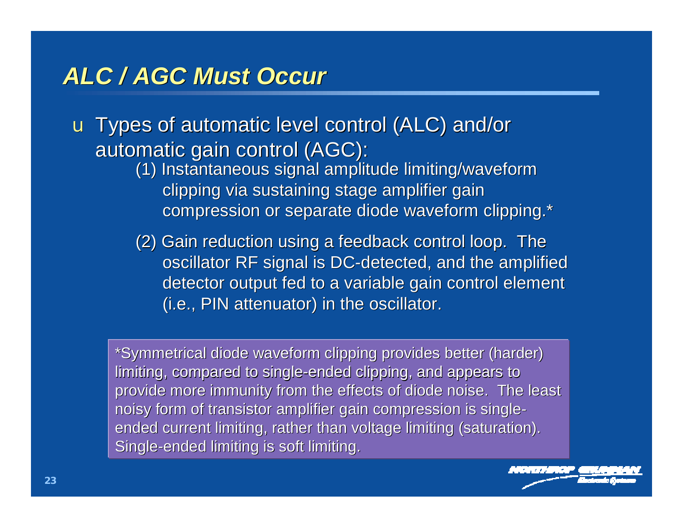#### *ALC / AGC Must Occur*

u Types of automatic level control (ALC) and/or automatic gain control (AGC):

- (1) Instantaneous signal amplitude limiting/waveform clipping via sustaining stage amplifier gain compression or separate diode waveform clipping.\*
- (2) Gain reduction using a feedback control loop. The oscillator RF signal is DC-detected, and the amplified detector output fed to a variable gain control element (i.e., PIN attenuator) in the oscillator.

\*Symmetrical diode waveform clipping provides better (harder) limiting, compared to single-ended clipping, and appears to provide more immunity from the effects of diode noise. The least noisy form of transistor amplifier gain compression is singleended current limiting, rather than voltage limiting (saturation). Single-ended limiting is soft limiting.

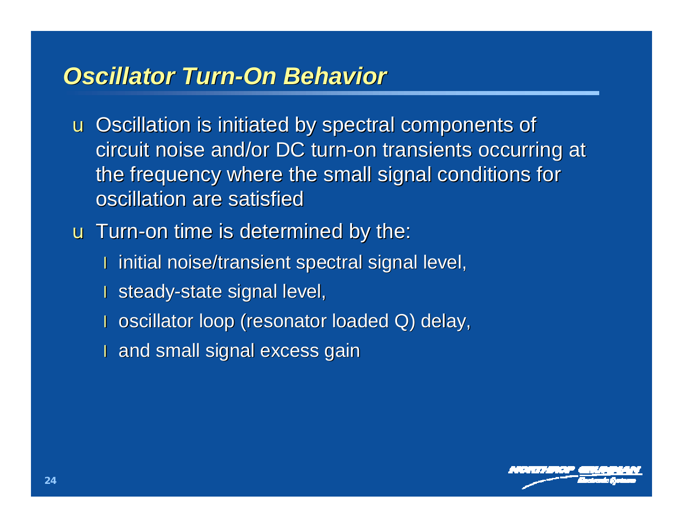### *Oscillator Turn-On Behavior*

u Oscillation is initiated by spectral components of circuit noise and/or DC turn-on transients occurring at the frequency where the small signal conditions for oscillation are satisfied

u Turn-on time is determined by the:

- l initial noise/transient spectral signal level,
- I steady-state signal level,
- l oscillator loop (resonator loaded Q) delay,
- l and small signal excess gain

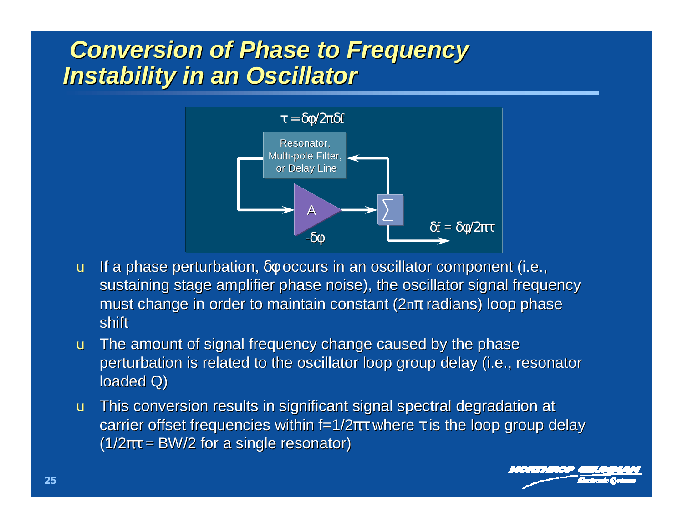#### *Conversion of Phase to Frequency Instability in an Oscillator*



- u If a phase perturbation,  $\delta\phi$  occurs in an oscillator component (i.e., sustaining stage amplifier phase noise), the oscillator signal frequency must change in order to maintain constant ( $2n\pi$  radians) loop phase shift
- u The amount of signal frequency change caused by the phase perturbation is related to the oscillator loop group delay (i.e., resonator loaded Q)
- u This conversion results in significant signal spectral degradation at carrier offset frequencies within f=1/2 $\pi$ τ where τ is the loop group delay  $(1/2\pi\tau = BW/2$  for a single resonator)

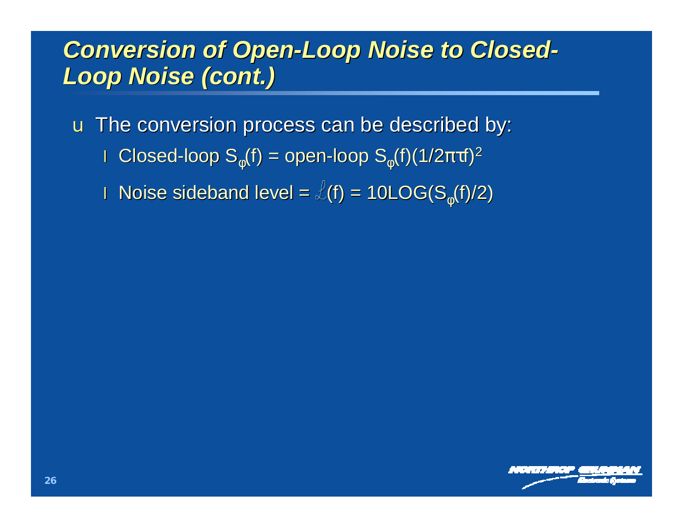#### *Conversion of Open-Loop Noise to Closed-Loop Noise (cont.)*

u The conversion process can be described by:

ι Closed-loop S<sub>φ</sub>(f) = open-loop S<sub>φ</sub>(f)(1/2πτf)<sup>2</sup>

l Noise sideband level =  $\ell(f)$  = 10LOG(S<sub>o</sub>(f)/2)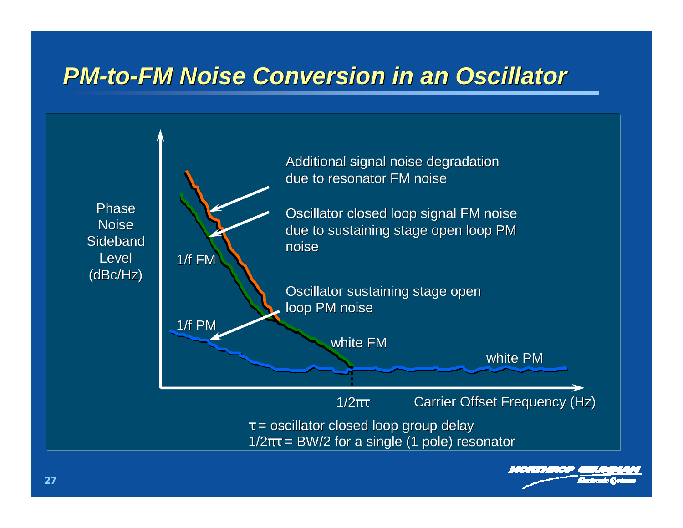#### *PM-to-FM Noise Conversion in an Oscillator*

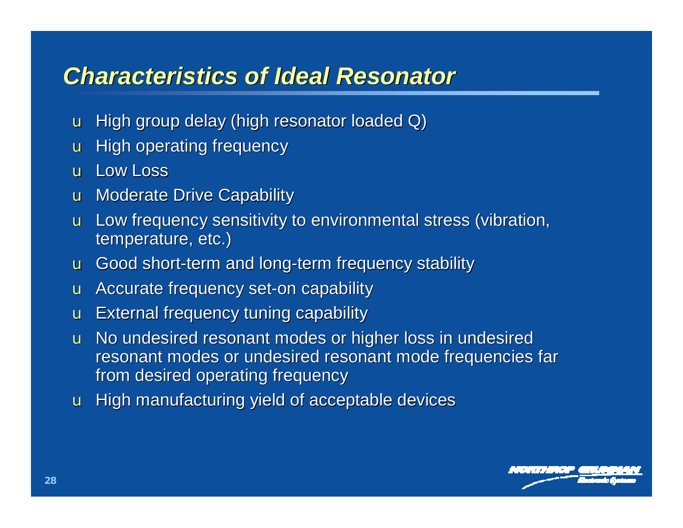#### *Characteristics of Ideal Resonator*

- u High group delay (high resonator loaded Q)
- u High operating frequency
- u Low Loss
- u Moderate Drive Capability
- u Low frequency sensitivity to environmental stress (vibration, temperature, etc.)
- u Good short-term and long-term frequency stability
- u Accurate frequency set-on capability
- u External frequency tuning capability
- u No undesired resonant modes or higher loss in undesired resonant modes or undesired resonant mode frequencies far from desired operating frequency
- u High manufacturing yield of acceptable devices

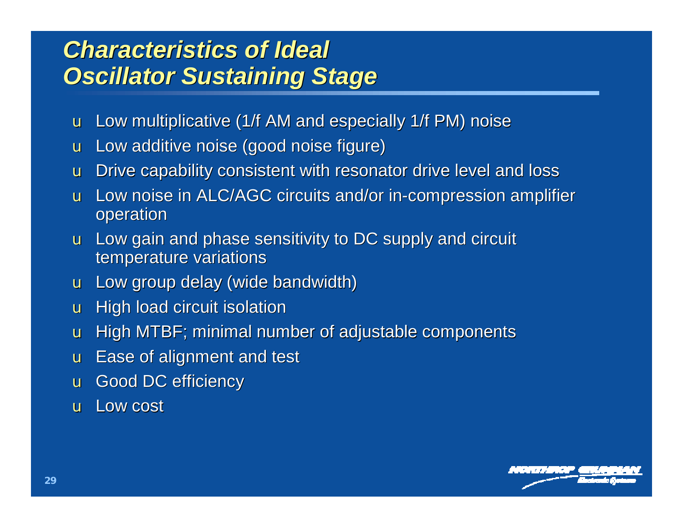#### *Characteristics of Ideal Oscillator Sustaining Stage*

- u Low multiplicative (1/f AM and especially 1/f PM) noise
- u Low additive noise (good noise figure)
- u Drive capability consistent with resonator drive level and loss
- u Low noise in ALC/AGC circuits and/or in-compression amplifier operation
- u Low gain and phase sensitivity to DC supply and circuit temperature variations
- u Low group delay (wide bandwidth)
- u High load circuit isolation
- u High MTBF; minimal number of adjustable components
- u Ease of alignment and test
- u Good DC efficiency
- u Low cost

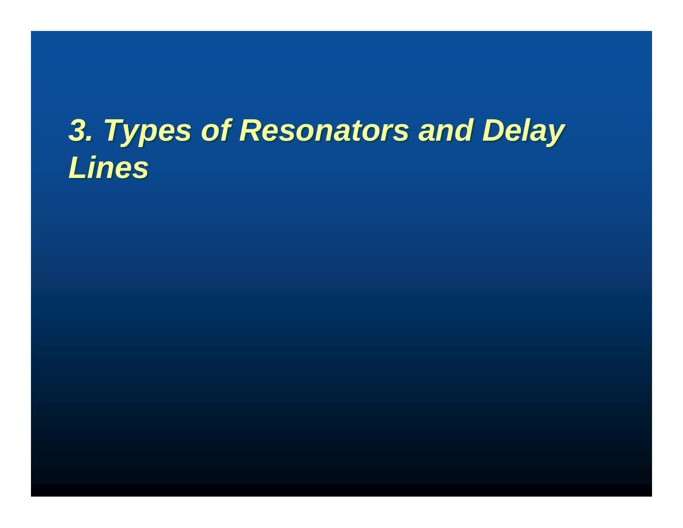# *3. Types of Resonators and Delay 3. Types of Resonators and Delay Lines Lines*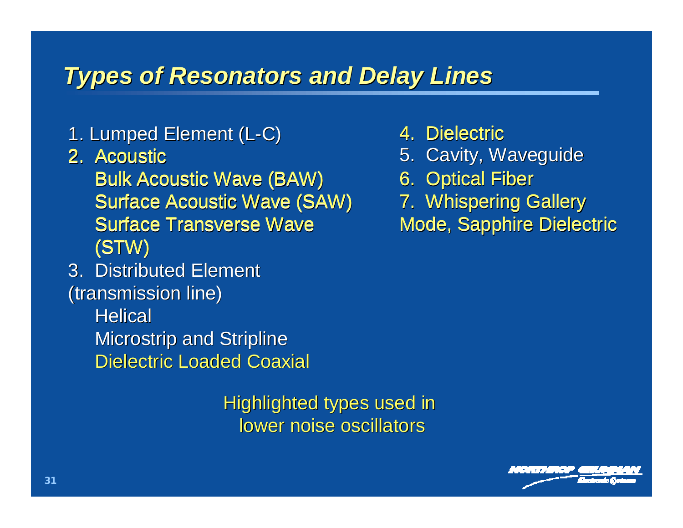#### *Types of Resonators and Delay Lines*

- 1. Lumped Element (L-C)
- 2. Acoustic 2. Acoustic

Bulk Acoustic Wave (BAW) Bulk Acoustic Wave (BAW) Surface Acoustic Wave (SAW) Surface Acoustic Wave (SAW) Surface Transverse Wave Surface Transverse Wave (STW) (STW)

3. Distributed Element (transmission line)

> **Helical** Microstrip and Stripline Dielectric Loaded Coaxial

> > Highlighted types used in lower noise oscillators

- 4. Dielectric
- 5. Cavity, Waveguide
- 6. Optical Fiber
- 4. Dielectric<br>5. Cavity, Waveguide<br>6. Optical Fiber<br>7. Whispering Gallery Mode, Sapphire Dielectric Mode, Sapphire Dielectric

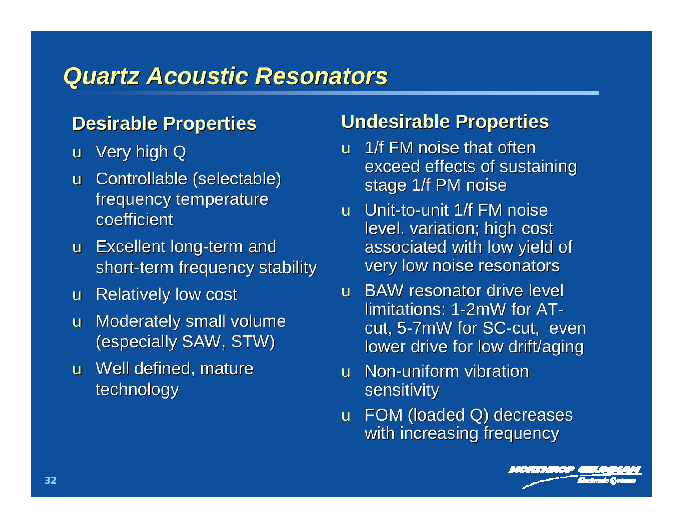#### *Quartz Acoustic Resonators*

#### **Desirable Properties**

- u Very high Q
- u Controllable (selectable) frequency temperature coefficient
- u Excellent long-term and short-term frequency stability
- u Relatively low cost
- u Moderately small volume (especially SAW, STW)
- u Well defined, mature technology

#### **Undesirable Properties**

- u 1/f FM noise that often exceed effects of sustaining stage 1/f PM noise
- u Unit-to-unit 1/f FM noise level. variation; high cost associated with low yield of very low noise resonators
- u BAW resonator drive level limitations: 1-2mW for ATcut, 5-7mW for SC-cut, even lower drive for low drift/aging
- u Non-uniform vibration sensitivity
- u FOM (loaded Q) decreases with increasing frequency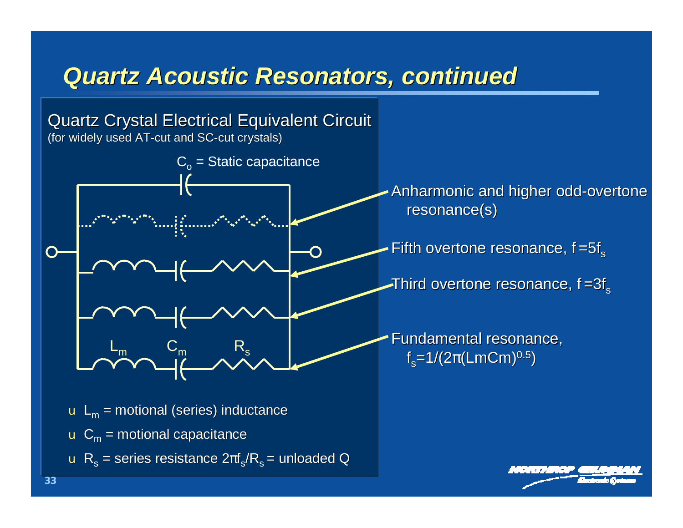#### *Quartz Acoustic Resonators, continued*

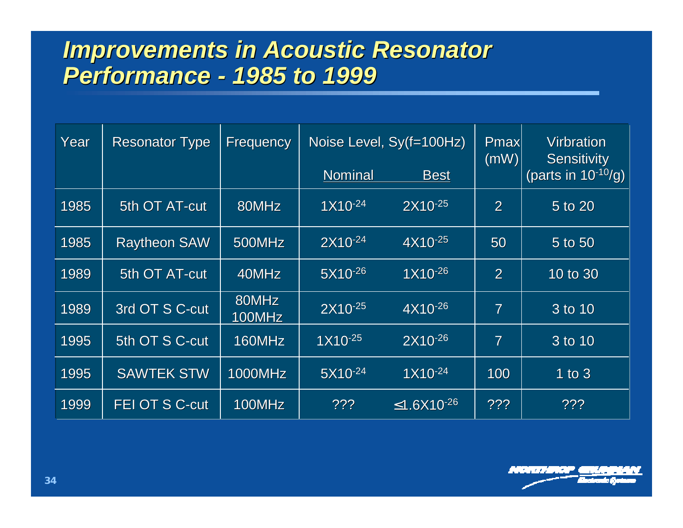#### *Improvements in Acoustic Resonator Performance - 1985 to 1999*

| Year | <b>Resonator Type</b> | Frequency       | Noise Level, Sy(f=100Hz) |                        | Pmax<br>(mW)    | Virbration<br><b>Sensitivity</b> |
|------|-----------------------|-----------------|--------------------------|------------------------|-----------------|----------------------------------|
|      |                       |                 | <b>Nominal</b>           | <b>Best</b>            |                 | (parts in $10^{-10}$ /g)         |
| 1985 | 5th OT AT-cut         | 80MHz           | $1X10^{-24}$             | $2X10^{-25}$           | $\overline{2}$  | 5 to 20                          |
| 1985 | <b>Raytheon SAW</b>   | 500MHz          | $2X10^{-24}$             | $4X10^{-25}$           | 50              | 5 to 50                          |
| 1989 | 5th OT AT-cut         | 40MHz           | $5X10^{-26}$             | $1X10^{-26}$           | $\overline{2}$  | 10 to 30                         |
| 1989 | 3rd OT S C-cut        | 80MHz<br>100MHz | $2$ X10 <sup>-25</sup>   | $4X10^{-26}$           | $\overline{7}$  | 3 to 10                          |
| 1995 | 5th OT S C-cut        | 160MHz          | $1X10^{-25}$             | $2X10^{-26}$           | $\overline{7}$  | 3 to 10                          |
| 1995 | <b>SAWTEK STW</b>     | <b>1000MHz</b>  | 5X10-24                  | $1X10^{-24}$           | 100             | 1 to $3$                         |
| 1999 | <b>FEI OT S C-cut</b> | 100MHz          | ???                      | ≤1.6X10 <sup>-26</sup> | $??\mathcal{?}$ | ???                              |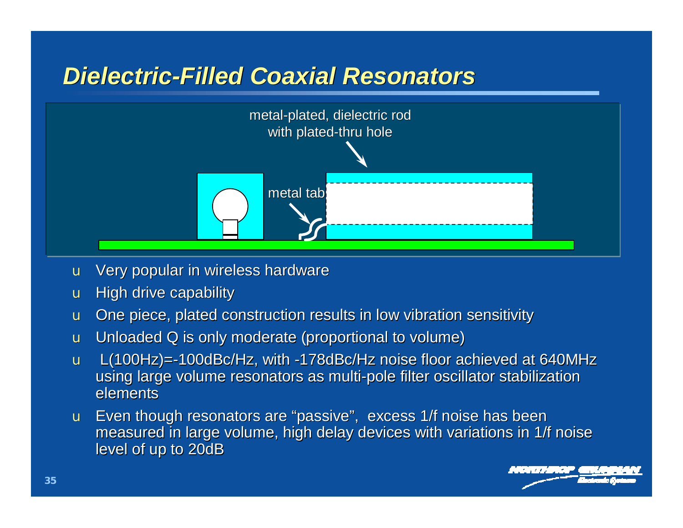#### *Dielectric-Filled Coaxial Resonators*



- u Very popular in wireless hardware
- u High drive capability
- u One piece, plated construction results in low vibration sensitivity
- u Unloaded Q is only moderate (proportional to volume)
- u L(100Hz)=-100dBc/Hz, with -178dBc/Hz noise floor achieved at 640MHz using large volume resonators as multi-pole filter oscillator stabilization elements
- u Even though resonators are "passive" , excess 1/f noise has been measured in large volume, high delay devices with variations in 1/f noise level of up to 20dB

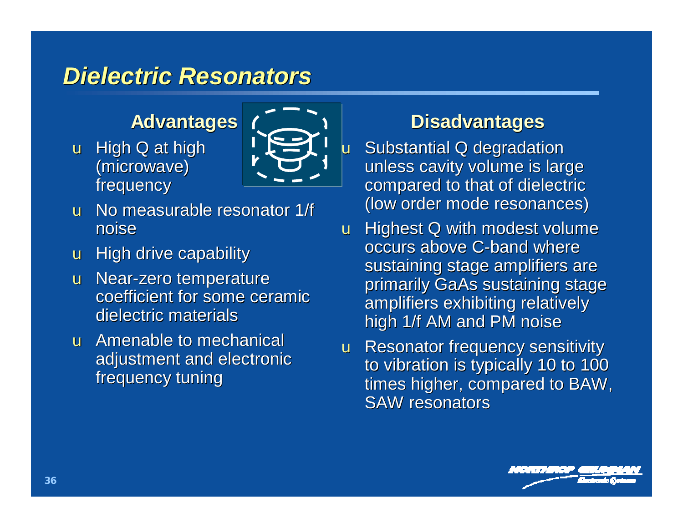#### *Dielectric Resonators*

#### **Advantages**

u High Q at high (microwave) frequency



- u No measurable resonator 1/f noise
- u High drive capability
- u Near-zero temperature coefficient for some ceramic dielectric materials
- u Amenable to mechanical adjustment and electronic frequency tuning

#### **Disadvantages**

- u Substantial Q degradation unless cavity volume is large compared to that of dielectric (low order mode resonances)
- u Highest Q with modest volume occurs above C-band where sustaining stage amplifiers are primarily GaAs sustaining stage amplifiers exhibiting relatively high 1/f AM and PM noise
- u Resonator frequency sensitivity to vibration is typically 10 to 100 times higher, compared to BAW, SAW resonators

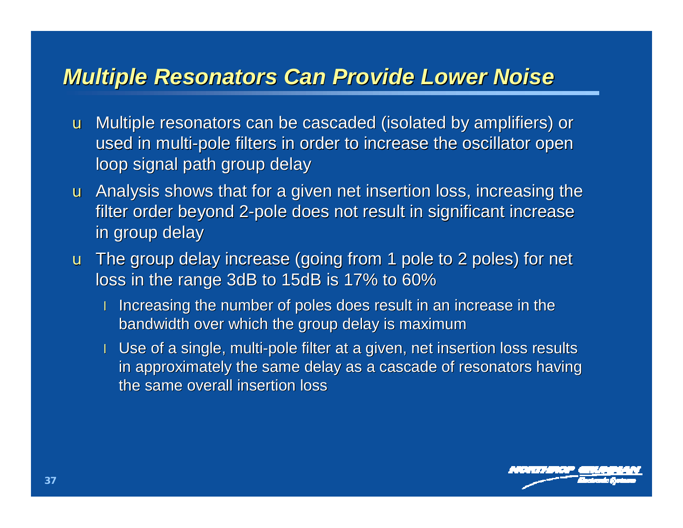#### *Multiple Resonators Can Provide Lower Noise*

- u Multiple resonators can be cascaded (isolated by amplifiers) or used in multi-pole filters in order to increase the oscillator open loop signal path group delay
- u Analysis shows that for a given net insertion loss, increasing the filter order beyond 2-pole does not result in significant increase in group delay
- u The group delay increase (going from 1 pole to 2 poles) for net loss in the range 3dB to 15dB is 17% to 60%
	- l Increasing the number of poles does result in an increase in the bandwidth over which the group delay is maximum
	- I Use of a single, multi-pole filter at a given, net insertion loss results in approximately the same delay as a cascade of resonators having the same overall insertion loss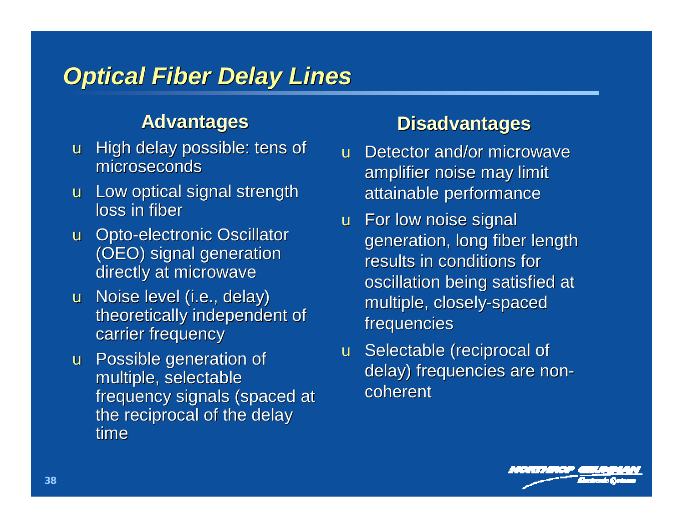#### *Optical Fiber Delay Lines*

#### **Advantages**

- u High delay possible: tens of microseconds
- u Low optical signal strength loss in fiber
- u Opto-electronic Oscillator (OEO) signal generation directly at microwave
- u Noise level (i.e., delay) theoretically independent of carrier frequency
- u Possible generation of multiple, selectable frequency signals (spaced at the reciprocal of the delay time

#### **Disadvantages**

- u Detector and/or microwave amplifier noise may limit attainable performance
- u For low noise signal generation, long fiber length results in conditions for oscillation being satisfied at multiple, closely-spaced frequencies
- u Selectable (reciprocal of delay) frequencies are noncoherent

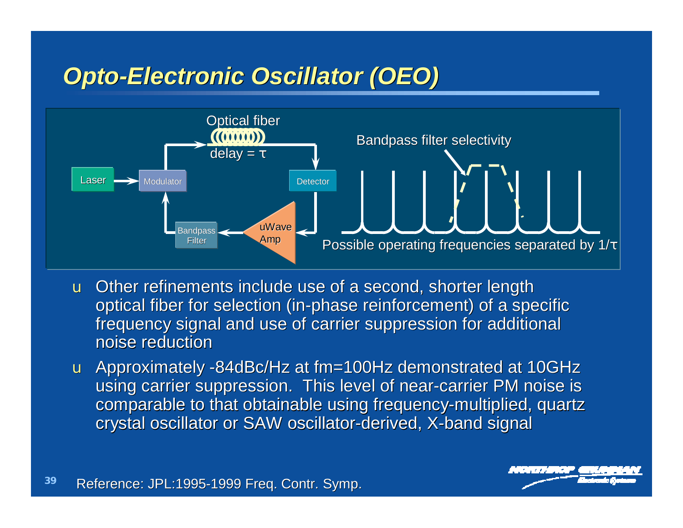## *Opto-Electronic Oscillator (OEO)*



- u Other refinements include use of a second, shorter length optical fiber for selection (in-phase reinforcement) of a specific frequency signal and use of carrier suppression for additional noise reduction
- u Approximately -84dBc/Hz at fm=100Hz demonstrated at 10GHz using carrier suppression. This level of near-carrier PM noise is comparable to that obtainable using frequency-multiplied, quartz crystal oscillator or SAW oscillator-derived, X-band signal

**39** Reference: JPL:1995-1999 Freq. Contr. Symp.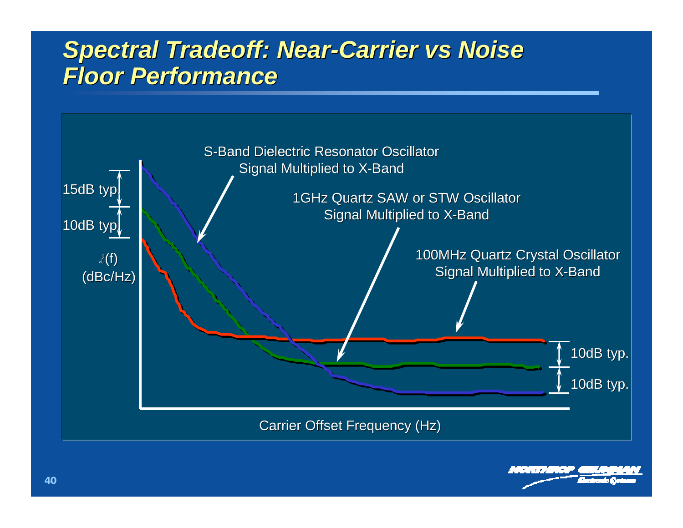## *Spectral Tradeoff: Near-Carrier vs Noise Floor Performance*

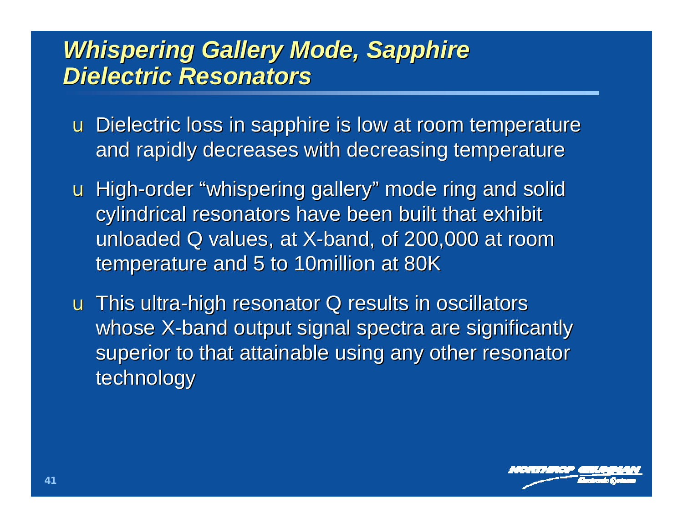#### *Whispering Gallery Mode, Sapphire Dielectric Resonators*

- u Dielectric loss in sapphire is low at room temperature and rapidly decreases with decreasing temperature
- u High-order "whispering gallery" mode ring and solid cylindrical resonators have been built that exhibit unloaded Q values, at X-band, of 200,000 at room temperature and 5 to 10million at 80K
- u This ultra-high resonator Q results in oscillators whose X-band output signal spectra are significantly superior to that attainable using any other resonator technology

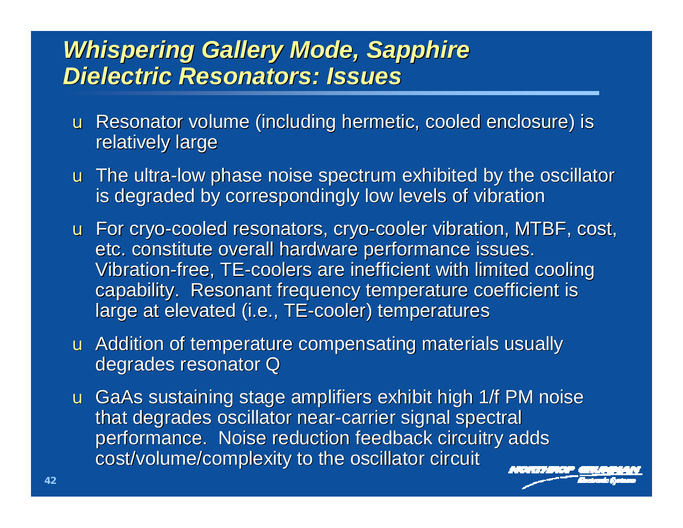#### *Whispering Gallery Mode, Sapphire Dielectric Resonators: Issues*

- u Resonator volume (including hermetic, cooled enclosure) is relatively large
- u The ultra-low phase noise spectrum exhibited by the oscillator is degraded by correspondingly low levels of vibration
- u For cryo-cooled resonators, cryo-cooler vibration, MTBF, cost, etc. constitute overall hardware performance issues. Vibration-free, TE-coolers are inefficient with limited cooling capability. Resonant frequency temperature coefficient is large at elevated (i.e., TE-cooler) temperatures
- u Addition of temperature compensating materials usually degrades resonator Q
- u GaAs sustaining stage amplifiers exhibit high 1/f PM noise that degrades oscillator near-carrier signal spectral performance. Noise reduction feedback circuitry adds cost/volume/complexity to the oscillator circuit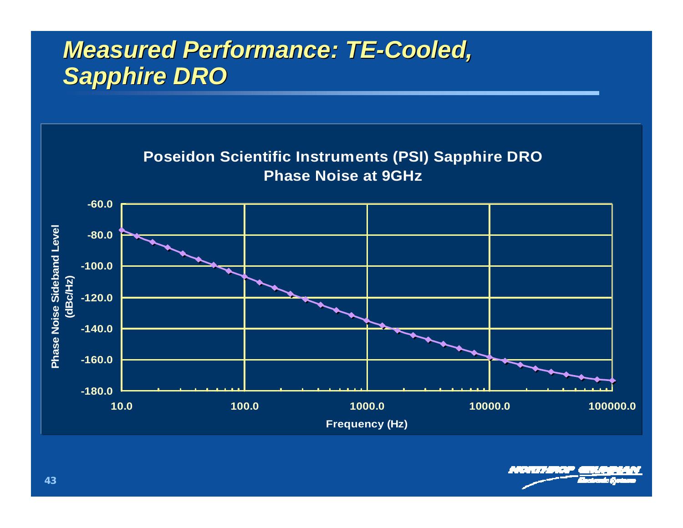## *Measured Performance: TE-Cooled, Sapphire DRO*

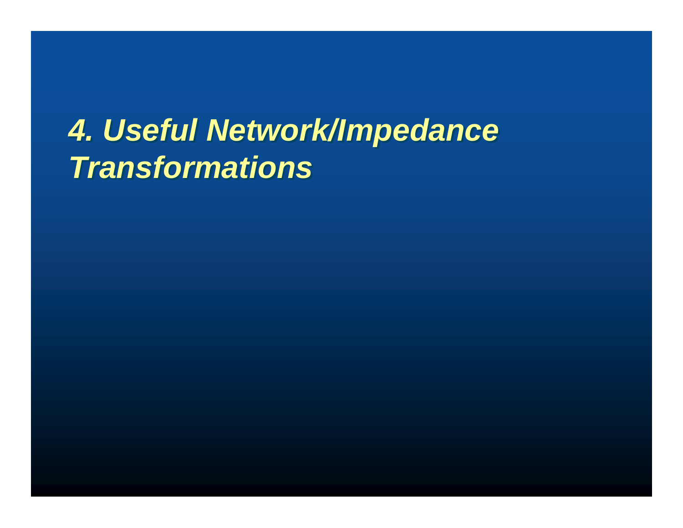# *4. Useful Network/Impedance 4. Useful Network/Impedance Transformations Transformations*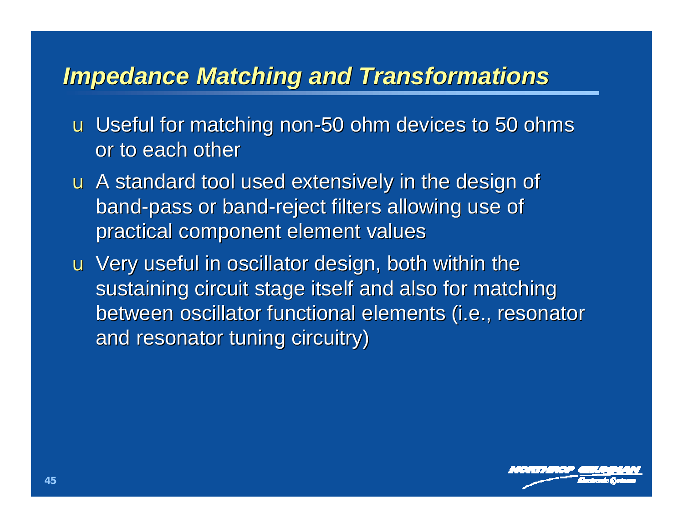#### *Impedance Matching and Transformations*

u Useful for matching non-50 ohm devices to 50 ohms or to each other

- u A standard tool used extensively in the design of band-pass or band-reject filters allowing use of practical component element values
- u Very useful in oscillator design, both within the sustaining circuit stage itself and also for matching between oscillator functional elements (i.e., resonator and resonator tuning circuitry)

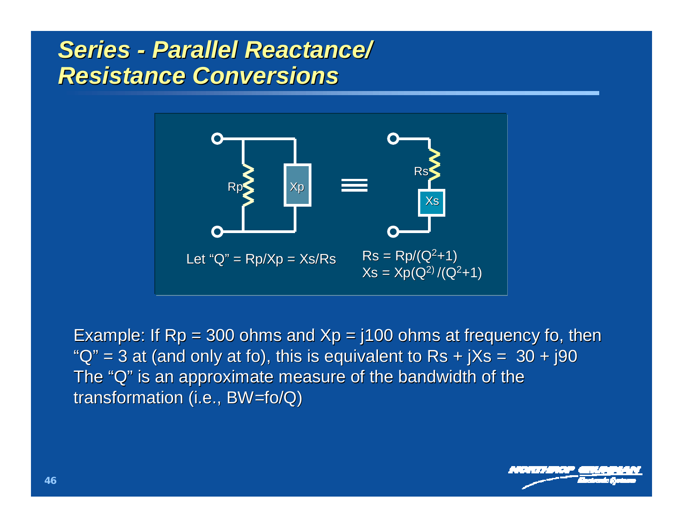#### *Series - Parallel Reactance/ Resistance Conversions*



Example: If  $Rp = 300$  ohms and  $Xp = 100$  ohms at frequency fo, then " $Q'' = 3$  at (and only at fo), this is equivalent to Rs + jXs =  $30 + j90$ The "Q" is an approximate measure of the bandwidth of the transformation (i.e., BW=fo/Q)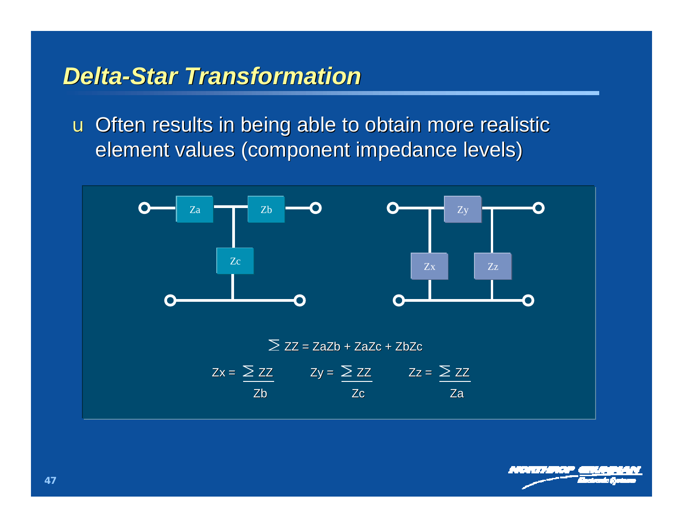#### *Delta-Star Transformation*

u Often results in being able to obtain more realistic element values (component impedance levels)

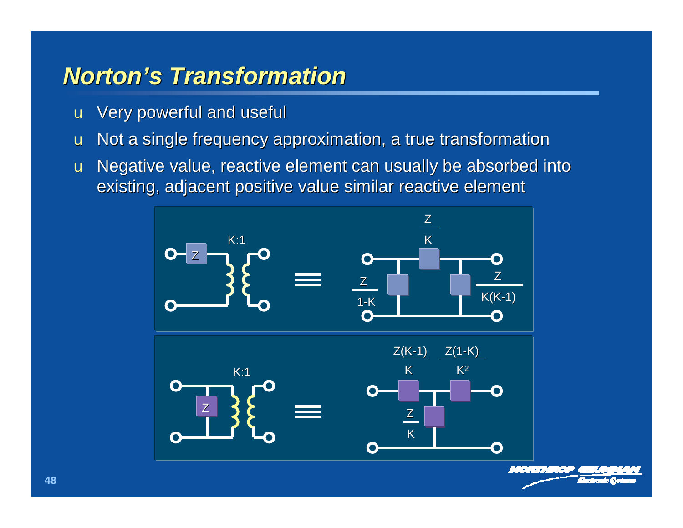#### *Norton's Transformation*

- u Very powerful and useful
- u Not a single frequency approximation, a true transformation
- u Negative value, reactive element can usually be absorbed into existing, adjacent positive value similar reactive element

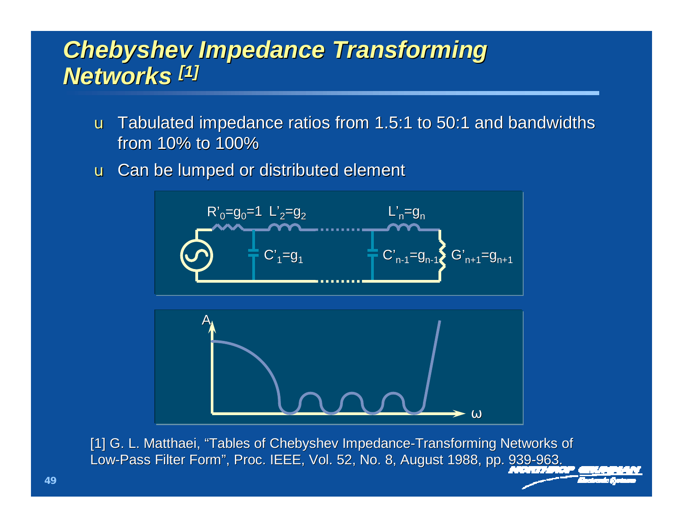## *Chebyshev Impedance Transforming Networks [1]*

- u Tabulated impedance ratios from 1.5:1 to 50:1 and bandwidths from 10% to 100%
- u Can be lumped or distributed element



[1] G. L. Matthaei, "Tables of Chebyshev Impedance-Transforming Networks of Low-Pass Filter Form", Proc. IEEE, Vol. 52, No. 8, August 1988, pp. 939-963.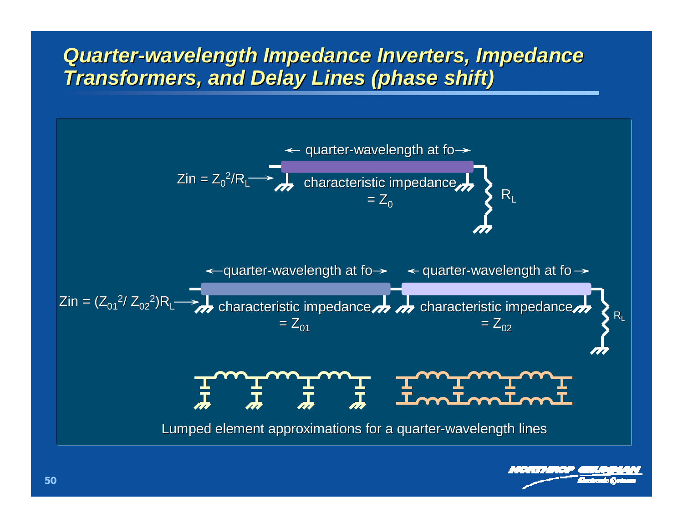#### *Quarter-wavelength Impedance Inverters, Impedance Transformers, and Delay Lines (phase shift)*



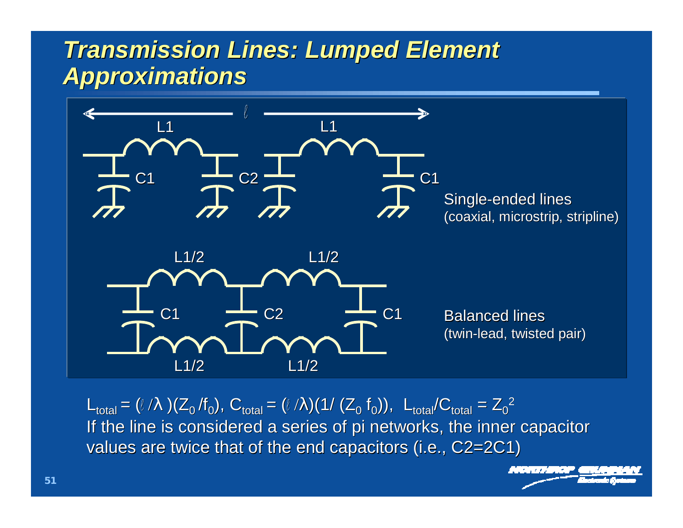#### *Transmission Lines: Lumped Element Approximations*



 ${\sf L}_{\sf total}=(\ell\;/\lambda\;)({\sf Z}_{_{\sf 0}}\;/\!\!\mathfrak{f}_{_{\sf 0}}),\;{\sf C}_{_{\sf total}}=(\ell\;/\lambda)(1/\;({\sf Z}_{_{\sf 0}}\;{\sf f}_{_{\sf 0}})),\;\;{\sf L}_{_{\sf total}}/{\sf C}_{_{\sf total}}={\sf Z}_{_{\sf 0}}{^{2}}$ If the line is considered a series of pi networks, the inner capacitor values are twice that of the end capacitors (i.e., C2=2C1)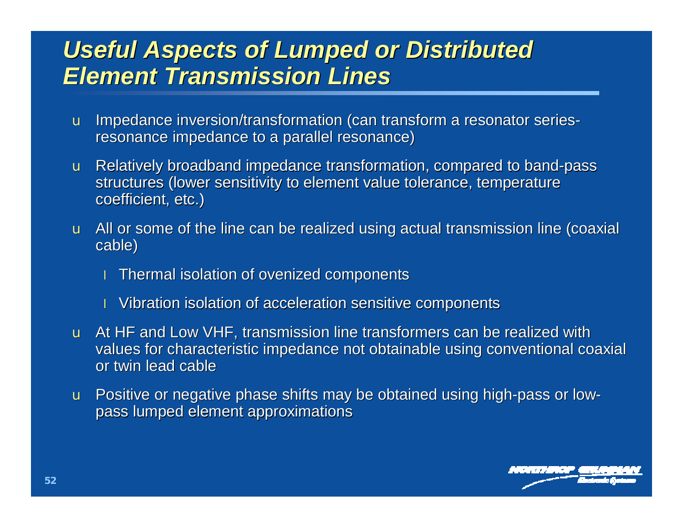#### *Useful Aspects of Lumped or Distributed Element Transmission Lines*

- u Impedance inversion/transformation (can transform a resonator seriesresonance impedance to a parallel resonance)
- u Relatively broadband impedance transformation, compared to band-pass structures (lower sensitivity to element value tolerance, temperature coefficient, etc.)
- u All or some of the line can be realized using actual transmission line (coaxial cable)
	- **I** Thermal isolation of ovenized components
	- **I** Vibration isolation of acceleration sensitive components
- u At HF and Low VHF, transmission line transformers can be realized with values for characteristic impedance not obtainable using conventional coaxial or twin lead cable
- u Positive or negative phase shifts may be obtained using high-pass or lowpass lumped element approximations

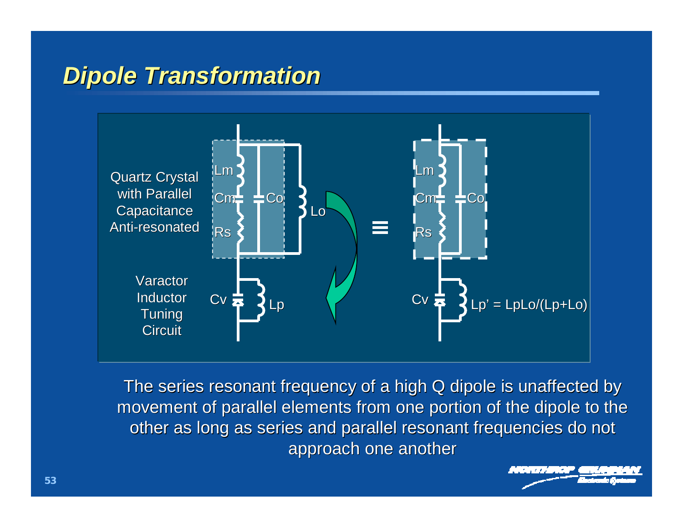#### *Dipole Transformation*



The series resonant frequency of a high Q dipole is unaffected by movement of parallel elements from one portion of the dipole to the other as long as series and parallel resonant frequencies do not approach one another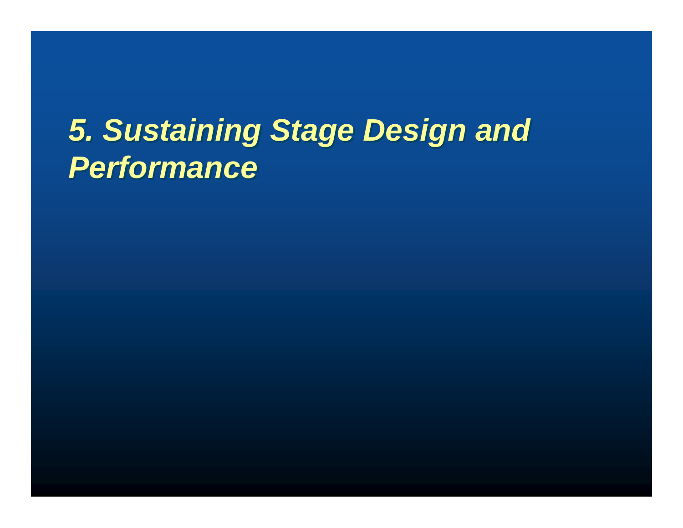# *5. Sustaining Stage Design and 5. Sustaining Stage Design and Performance Performance*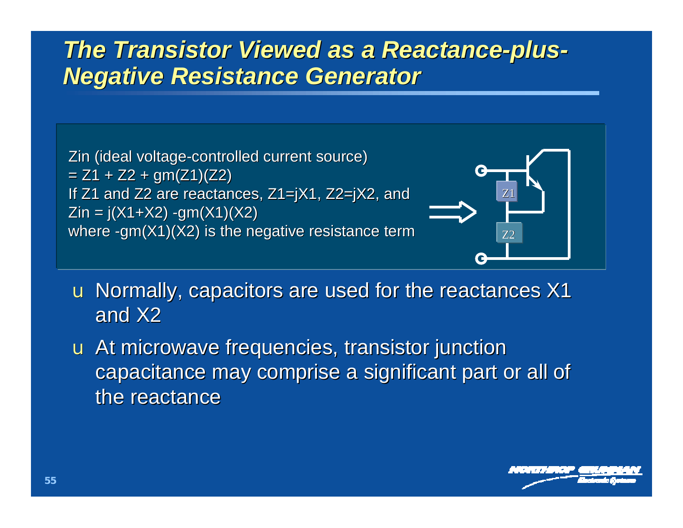#### *The Transistor Viewed as a Reactance-plus-Negative Resistance Generator*



u Normally, capacitors are used for the reactances X1 and X<sub>2</sub>

u At microwave frequencies, transistor junction capacitance may comprise a significant part or all of the reactance

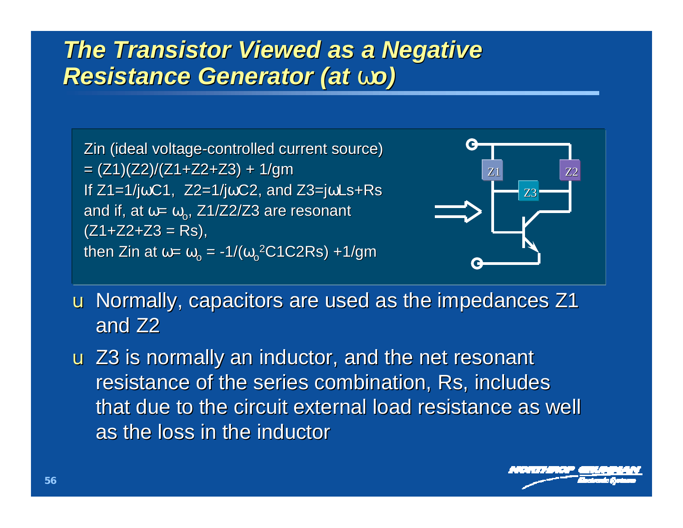# *The Transistor Viewed as a Negative Resistance Generator (at wo)*

Zin (ideal voltage-controlled current source) = (Z1)(Z2)/(Z1+Z2+Z3) + 1/gm If  $Z1=1/j\omega C1$ ,  $Z2=1/j\omega C2$ , and  $Z3=j\omega Ls+Rs$ and if, at  $\omega = \omega_{\rm o}$ , Z1/Z2/Z3 are resonant  $(Z1+Z2+Z3 = Rs),$ then Zin at ω= ω $_{\rm o}$  = -1/(ω $_{\rm o}$ 2C1C2Rs) +1/gm



u Normally, capacitors are used as the impedances Z1 and Z2

u Z3 is normally an inductor, and the net resonant resistance of the series combination, Rs, includes that due to the circuit external load resistance as well as the loss in the inductor

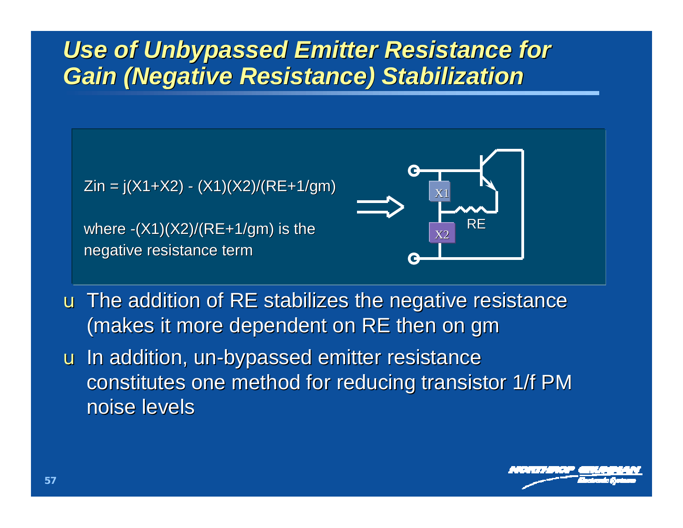#### *Use of Unbypassed Emitter Resistance for Gain (Negative Resistance) Stabilization*

 $\text{Zin} = j(X1+X2) - (X1)(X2)/(RE+1/gm)$ where  $-(X1)(X2)/(RE+1/gm)$  is the negative resistance term X1 X2 **RE** 

u The addition of RE stabilizes the negative resistance (makes it more dependent on RE then on gm

u In addition, un-bypassed emitter resistance constitutes one method for reducing transistor 1/f PM noise levels

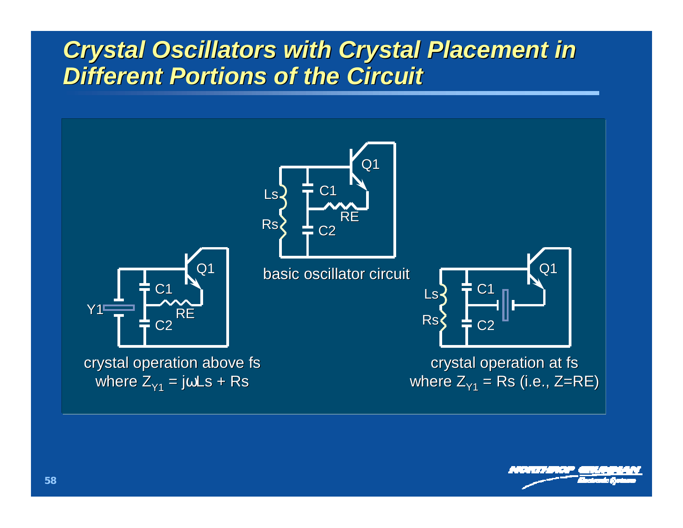## *Crystal Oscillators with Crystal Placement in Different Portions of the Circuit*



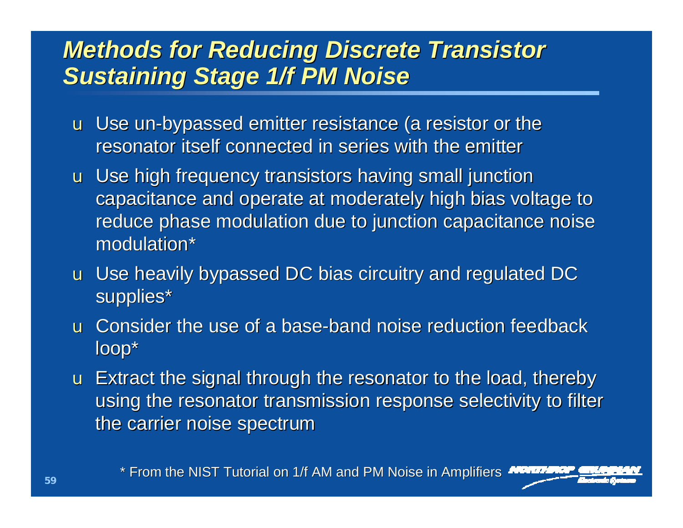## *Methods for Reducing Discrete Transistor Sustaining Stage 1/f PM Noise*

- u Use un-bypassed emitter resistance (a resistor or the resonator itself connected in series with the emitter
- u Use high frequency transistors having small junction capacitance and operate at moderately high bias voltage to reduce phase modulation due to junction capacitance noise modulation\*
- u Use heavily bypassed DC bias circuitry and regulated DC supplies\*
- u Consider the use of a base-band noise reduction feedback loop\*
- u Extract the signal through the resonator to the load, thereby using the resonator transmission response selectivity to filter the carrier noise spectrum

\* From the NIST Tutorial on 1/f AM and PM Noise in Amplifiers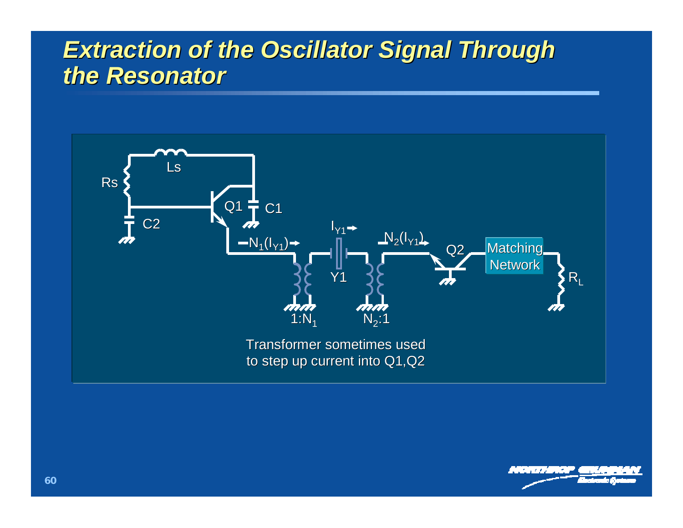#### *Extraction of the Oscillator Signal Through the Resonator*

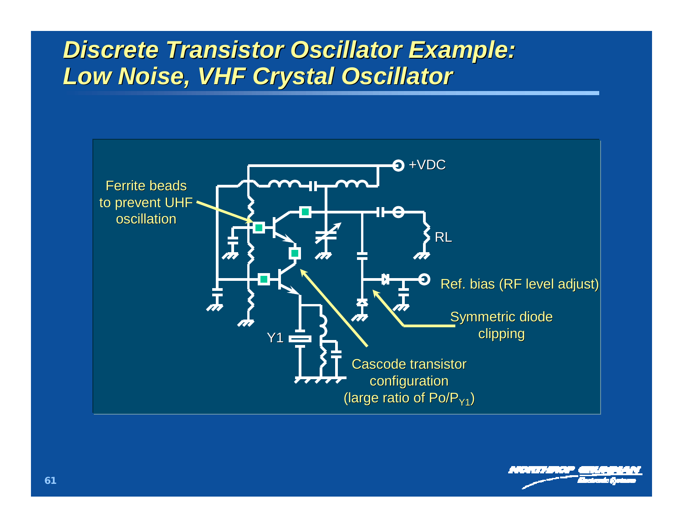## *Discrete Transistor Oscillator Example: Low Noise, VHF Crystal Oscillator*



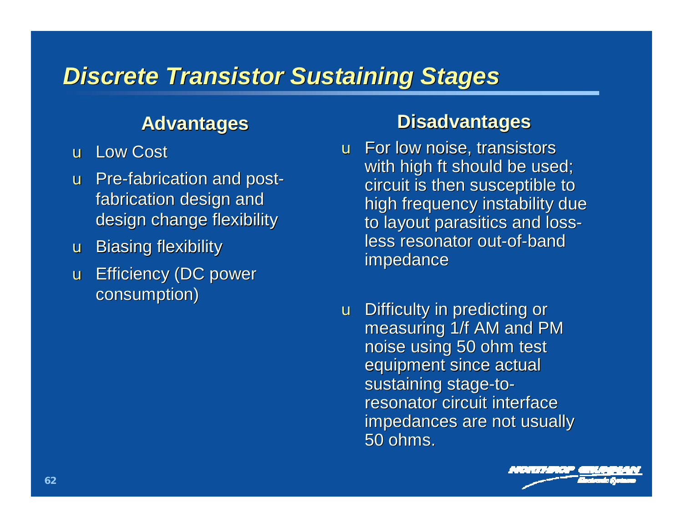#### *Discrete Transistor Sustaining Stages*

#### **Advantages**

- u Low Cost
- u Pre-fabrication and postfabrication design and design change flexibility
- u Biasing flexibility
- u Efficiency (DC power consumption)

#### **Disadvantages**

- u For low noise, transistors with high ft should be used; circuit is then susceptible to high frequency instability due to layout parasitics and lossless resonator out-of-band impedance
- u Difficulty in predicting or measuring 1/f AM and PM noise using 50 ohm test equipment since actual sustaining stage-toresonator circuit interface impedances are not usually 50 ohms.

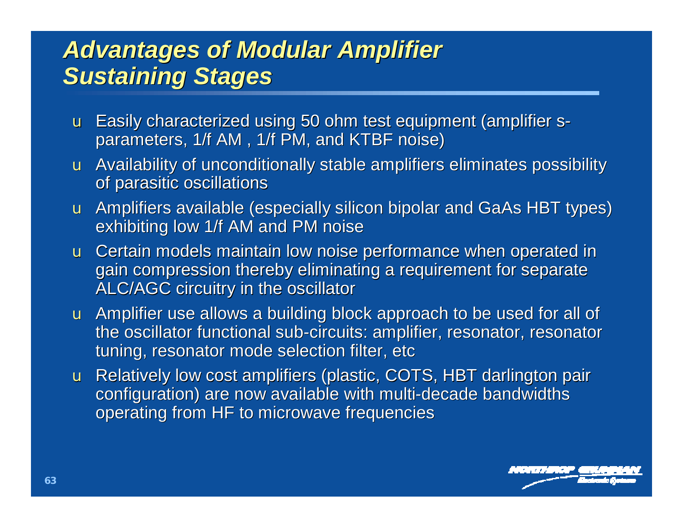# *Advantages of Modular Amplifier Sustaining Stages*

- u Easily characterized using 50 ohm test equipment (amplifier sparameters, 1/f AM , 1/f PM, and KTBF noise)
- u Availability of unconditionally stable amplifiers eliminates possibility of parasitic oscillations
- u Amplifiers available (especially silicon bipolar and GaAs HBT types) exhibiting low 1/f AM and PM noise
- u Certain models maintain low noise performance when operated in gain compression thereby eliminating a requirement for separate ALC/AGC circuitry in the oscillator
- u Amplifier use allows a building block approach to be used for all of the oscillator functional sub-circuits: amplifier, resonator, resonator tuning, resonator mode selection filter, etc
- u Relatively low cost amplifiers (plastic, COTS, HBT darlington pair configuration) are now available with multi-decade bandwidths operating from HF to microwave frequencies

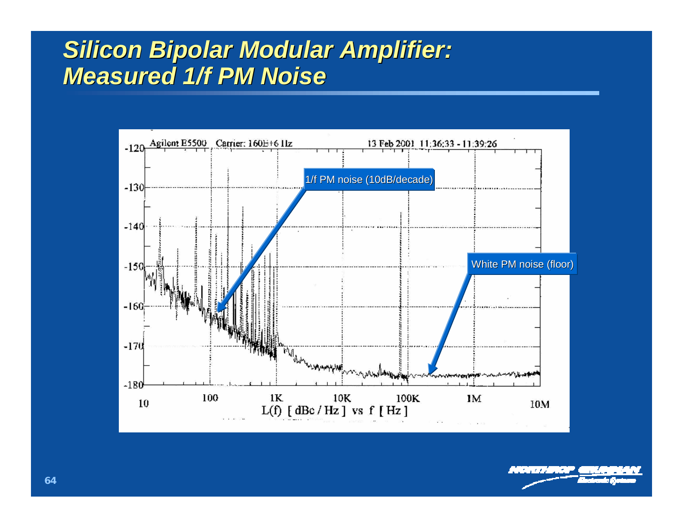#### *Silicon Bipolar Modular Amplifier: Measured 1/f PM Noise*

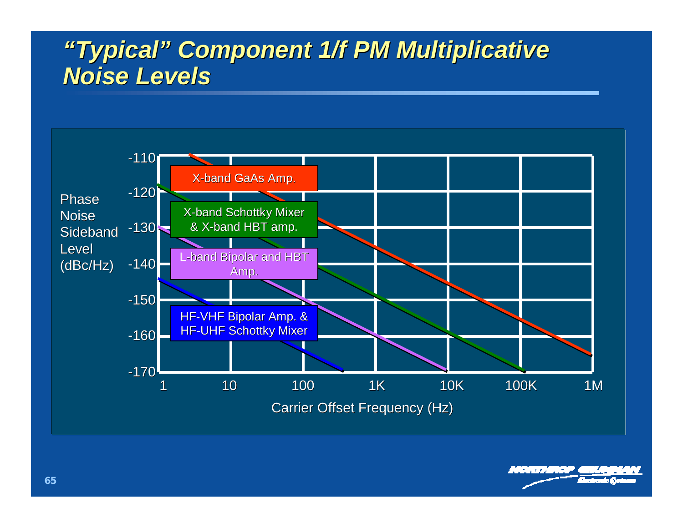## *"Typical" Component 1/f PM Multiplicative Noise Levels*

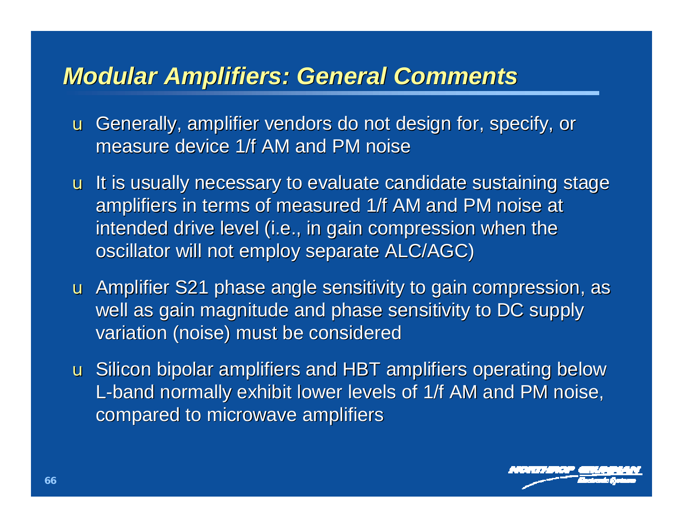#### *Modular Amplifiers: General Comments*

- u Generally, amplifier vendors do not design for, specify, or measure device 1/f AM and PM noise
- u It is usually necessary to evaluate candidate sustaining stage amplifiers in terms of measured 1/f AM and PM noise at intended drive level (i.e., in gain compression when the oscillator will not employ separate ALC/AGC)
- u Amplifier S21 phase angle sensitivity to gain compression, as well as gain magnitude and phase sensitivity to DC supply variation (noise) must be considered
- u Silicon bipolar amplifiers and HBT amplifiers operating below L-band normally exhibit lower levels of 1/f AM and PM noise, compared to microwave amplifiers

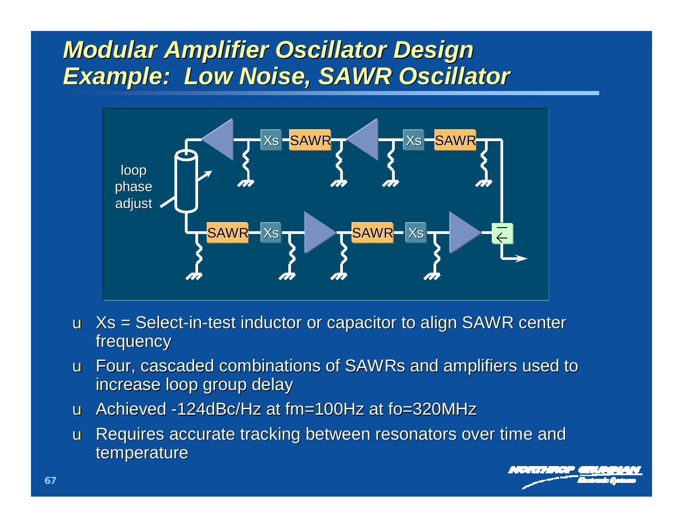# *Modular Amplifier Oscillator Design Example: Low Noise, SAWR Oscillator*



- u Xs = Select-in-test inductor or capacitor to align SAWR center frequency
- u Four, cascaded combinations of SAWRs and amplifiers used to increase loop group delay
- u Achieved -124dBc/Hz at fm=100Hz at fo=320MHz
- u Requires accurate tracking between resonators over time and temperature

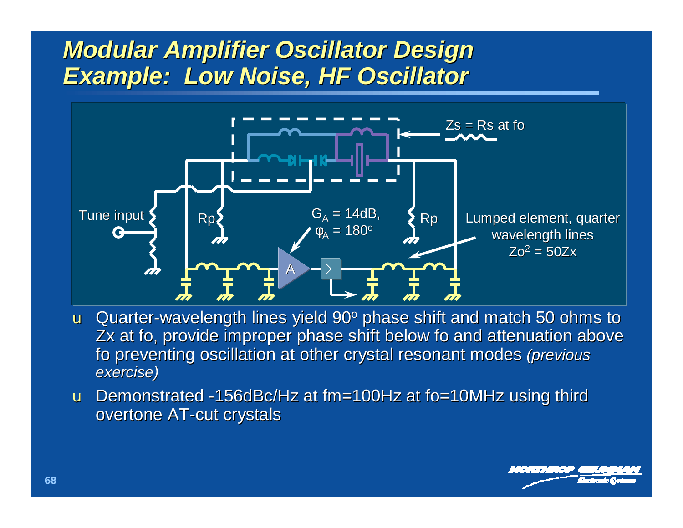## *Modular Amplifier Oscillator Design Example: Low Noise, HF Oscillator*



- u Quarter-wavelength lines yield 90° phase shift and match 50 ohms to Zx at fo, provide improper phase shift below fo and attenuation above fo preventing oscillation at other crystal resonant modes *(previous exercise)*
- u Demonstrated -156dBc/Hz at fm=100Hz at fo=10MHz using third overtone AT-cut crystals

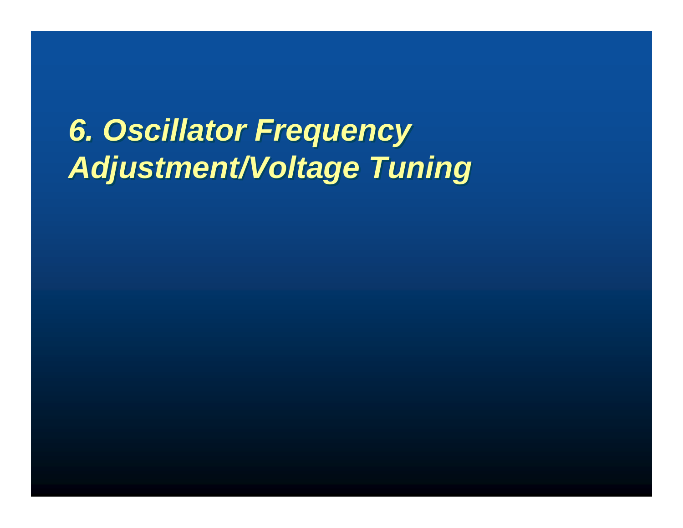# *6. Oscillator Frequency 6. Oscillator Frequency Adjustment/Voltage Tuning Adjustment/Voltage Tuning*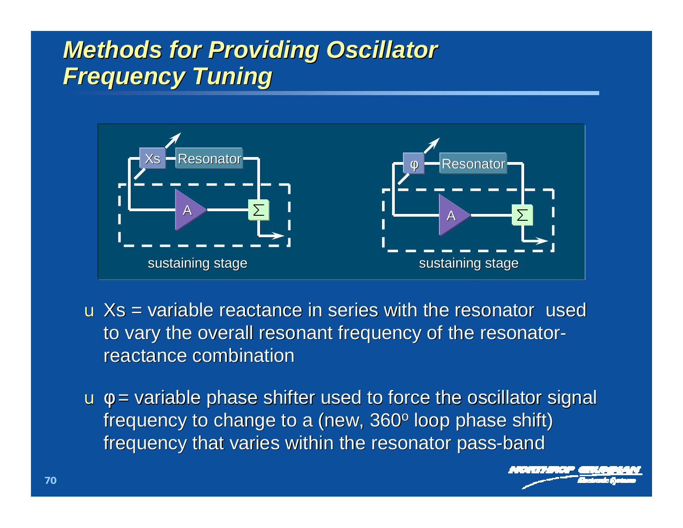# *Methods for Providing Oscillator Frequency Tuning*



- **Xs = variable reactance in series with the resonator used** to vary the overall resonant frequency of the resonatorreactance combination
- $u \phi$  = variable phase shifter used to force the oscillator signal frequency to change to a (new, 360° loop phase shift) frequency that varies within the resonator pass-band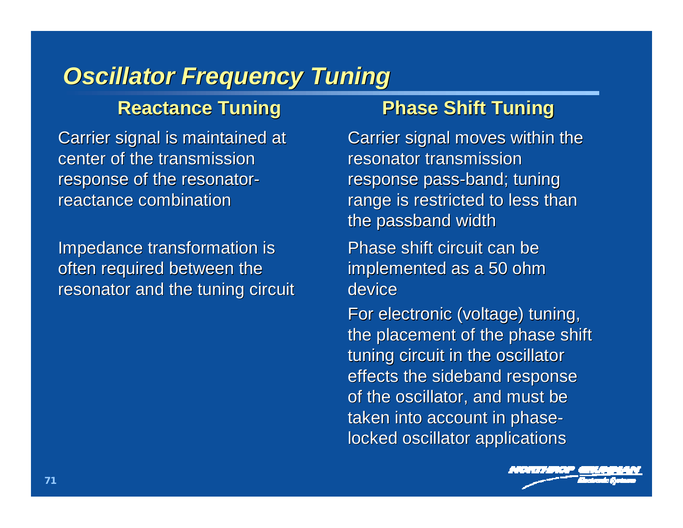#### *Oscillator Frequency Tuning*

Carrier signal is maintained at center of the transmission response of the resonatorreactance combination

Impedance transformation is often required between the resonator and the tuning circuit

#### **Reactance Tuning Phase Shift Tuning**

Carrier signal moves within the resonator transmission response pass-band; tuning range is restricted to less than the passband width

Phase shift circuit can be implemented as a 50 ohm device

For electronic (voltage) tuning, the placement of the phase shift tuning circuit in the oscillator effects the sideband response of the oscillator, and must be taken into account in phaselocked oscillator applications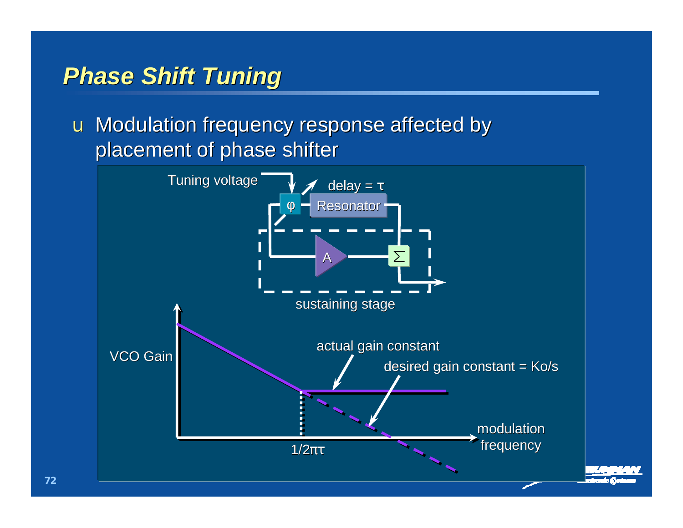#### *Phase Shift Tuning*

u Modulation frequency response affected by placement of phase shifter

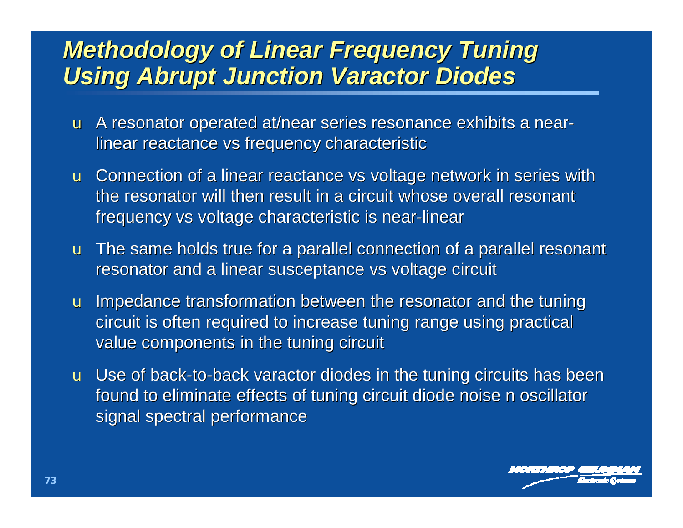### *Methodology of Linear Frequency Tuning Using Abrupt Junction Varactor Diodes*

- u A resonator operated at/near series resonance exhibits a nearlinear reactance vs frequency characteristic
- u Connection of a linear reactance vs voltage network in series with the resonator will then result in a circuit whose overall resonant frequency vs voltage characteristic is near-linear
- u The same holds true for a parallel connection of a parallel resonant resonator and a linear susceptance vs voltage circuit
- u Impedance transformation between the resonator and the tuning circuit is often required to increase tuning range using practical value components in the tuning circuit
- u Use of back-to-back varactor diodes in the tuning circuits has been found to eliminate effects of tuning circuit diode noise n oscillator signal spectral performance

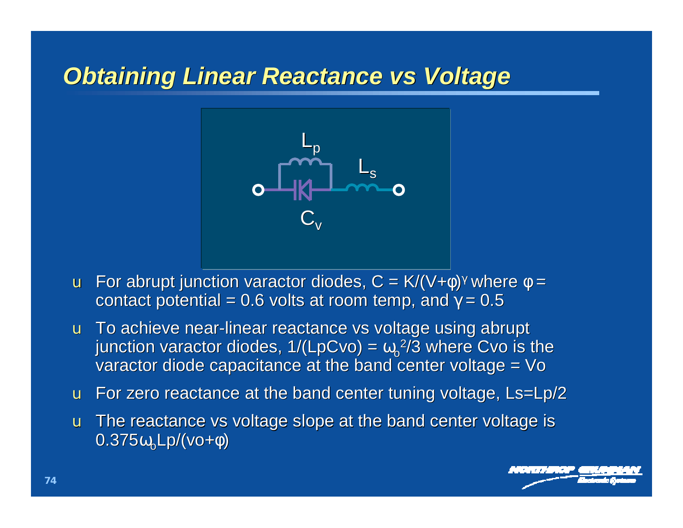#### *Obtaining Linear Reactance vs Voltage*



- **u** For abrupt junction varactor diodes,  $C = K/(V+\phi)^{\gamma}$  where  $\phi =$ contact potential = 0.6 volts at room temp, and  $\gamma = 0.5$
- u To achieve near-linear reactance vs voltage using abrupt junction varactor diodes,  $1/(LpCvo) = \omega_0^2/3$  where Cvo is the varactor diode capacitance at the band center voltage = Vo
- u For zero reactance at the band center tuning voltage, Ls=Lp/2
- u The reactance vs voltage slope at the band center voltage is  $0.375\omega_{o}Lp/(vo+\phi)$

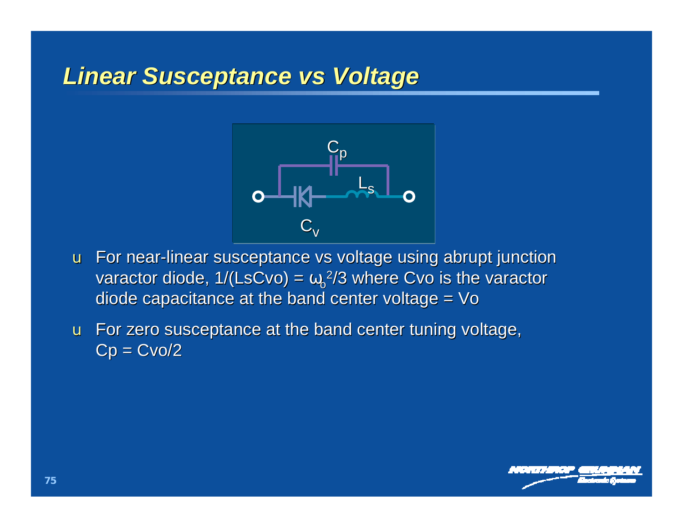#### *Linear Susceptance vs Voltage*



- u For near-linear susceptance vs voltage using abrupt junction varactor diode, 1/(LsCvo) =  $\omega$ <sup>2</sup>/3 where Cvo is the varactor diode capacitance at the band center voltage = Vo
- u For zero susceptance at the band center tuning voltage,  $Cp = Cvo/2$

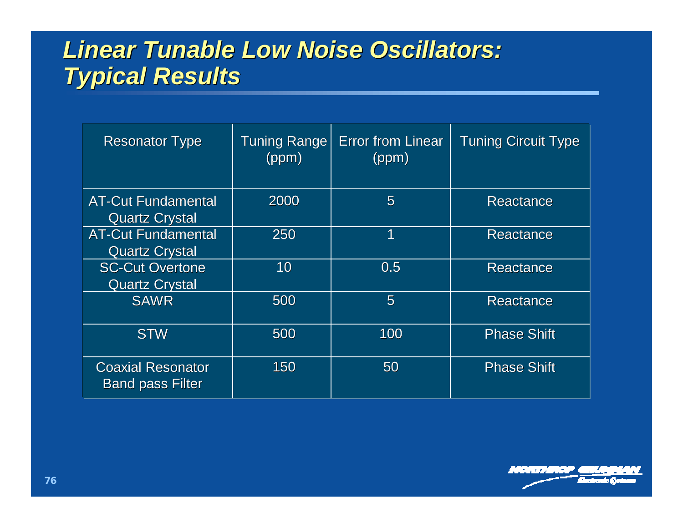# *Linear Tunable Low Noise Oscillators: Typical Results*

| <b>Resonator Type</b>                               | <b>Tuning Range</b><br>(ppm) | <b>Error from Linear</b><br>(ppm) | <b>Tuning Circuit Type</b> |
|-----------------------------------------------------|------------------------------|-----------------------------------|----------------------------|
| <b>AT-Cut Fundamental</b><br><b>Quartz Crystal</b>  | 2000                         | 5                                 | Reactance                  |
| <b>AT-Cut Fundamental</b><br><b>Quartz Crystal</b>  | 250                          |                                   | Reactance                  |
| <b>SC-Cut Overtone</b><br><b>Quartz Crystal</b>     | 10                           | 0.5                               | Reactance                  |
| <b>SAWR</b>                                         | 500                          | 5                                 | Reactance                  |
| <b>STW</b>                                          | 500                          | 100                               | <b>Phase Shift</b>         |
| <b>Coaxial Resonator</b><br><b>Band pass Filter</b> | 150                          | 50                                | <b>Phase Shift</b>         |

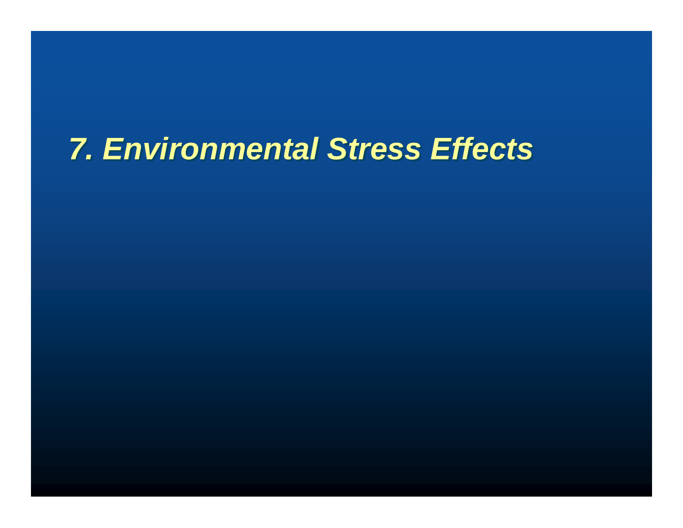# *7. Environmental Stress Effects*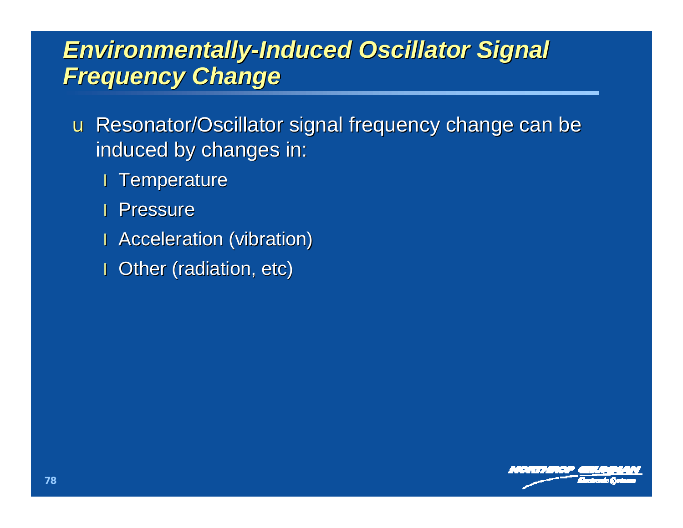# *Environmentally-Induced Oscillator Signal Frequency Change*

u Resonator/Oscillator signal frequency change can be induced by changes in:

- l Temperature
- l Pressure
- **I** Acceleration (vibration)
- **I** Other (radiation, etc)

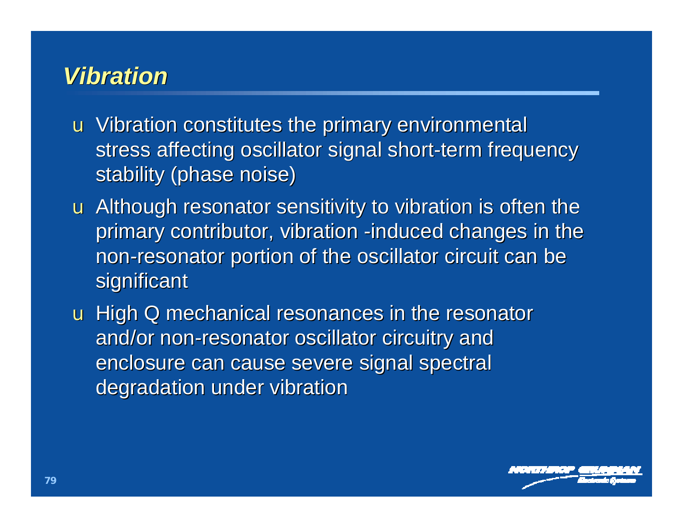#### *Vibration*

- u Vibration constitutes the primary environmental stress affecting oscillator signal short-term frequency stability (phase noise)
- u Although resonator sensitivity to vibration is often the primary contributor, vibration -induced changes in the non-resonator portion of the oscillator circuit can be significant
- u High Q mechanical resonances in the resonator and/or non-resonator oscillator circuitry and enclosure can cause severe signal spectral degradation under vibration

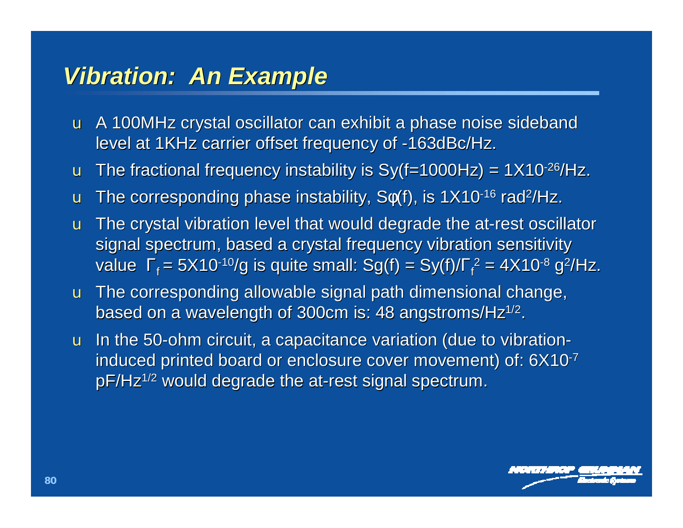#### *Vibration: An Example*

- u A 100MHz crystal oscillator can exhibit a phase noise sideband level at 1KHz carrier offset frequency of -163dBc/Hz.
- **u** The fractional frequency instability is  $Sy(f=1000Hz) = 1X10^{-26}$ /Hz.
- **u** The corresponding phase instability,  $S\phi(f)$ , is  $1 \times 10^{-16}$  rad<sup>2</sup>/Hz.
- u The crystal vibration level that would degrade the at-rest oscillator signal spectrum, based a crystal frequency vibration sensitivity value  $\Gamma_{\text{f}} = 5 \times 10^{-10}$ /g is quite small: Sg(f) = Sy(f)/ $\Gamma_{\text{f}}^2 = 4 \times 10^{-8}$  g<sup>2</sup>/Hz.
- u The corresponding allowable signal path dimensional change, based on a wavelength of 300cm is: 48 angstroms/Hz $1/2$ .
- u In the 50-ohm circuit, a capacitance variation (due to vibrationinduced printed board or enclosure cover movement) of: 6X10-7 pF/Hz1/2 would degrade the at-rest signal spectrum.

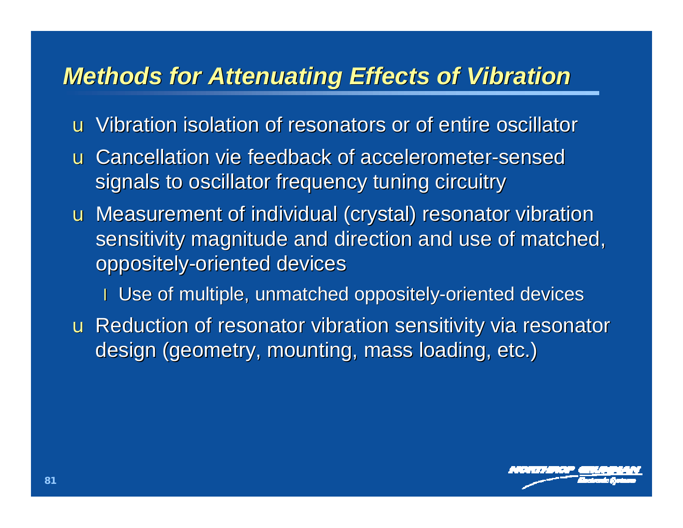#### **Methods for Attenuating Effects of Vibration**

- u Vibration isolation of resonators or of entire oscillator
- u Cancellation vie feedback of accelerometer-sensed signals to oscillator frequency tuning circuitry
- u Measurement of individual (crystal) resonator vibration sensitivity magnitude and direction and use of matched, oppositely-oriented devices
	- I Use of multiple, unmatched oppositely-oriented devices
- u Reduction of resonator vibration sensitivity via resonator design (geometry, mounting, mass loading, etc.)

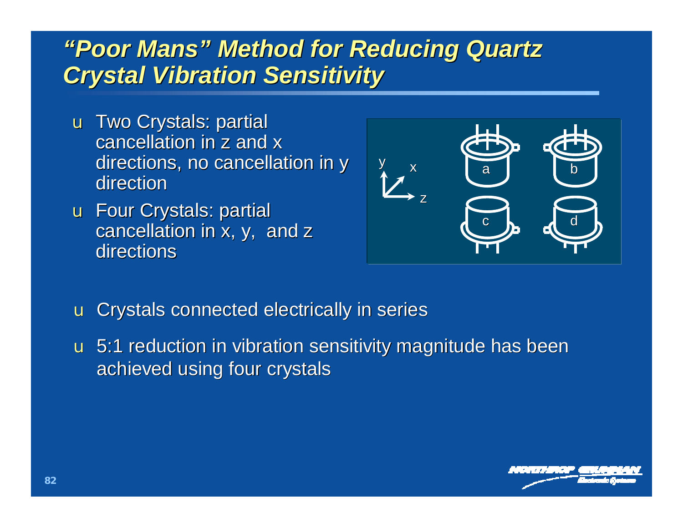## *"Poor Mans" Method for Reducing Quartz Crystal Vibration Sensitivity*

- u Two Crystals: partial cancellation in z and x directions, no cancellation in y direction
- u Four Crystals: partial cancellation in x, y, and z directions



- u Crystals connected electrically in series
- u 5:1 reduction in vibration sensitivity magnitude has been achieved using four crystals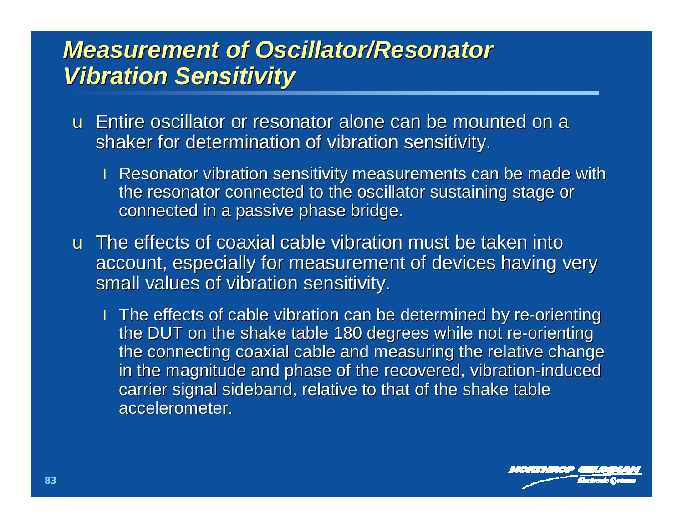# *Measurement of Oscillator/Resonator Vibration Sensitivity*

- u Entire oscillator or resonator alone can be mounted on a shaker for determination of vibration sensitivity.
	- **I** Resonator vibration sensitivity measurements can be made with the resonator connected to the oscillator sustaining stage or connected in a passive phase bridge.
- u The effects of coaxial cable vibration must be taken into account, especially for measurement of devices having very small values of vibration sensitivity.
	- **I** The effects of cable vibration can be determined by re-orienting the DUT on the shake table 180 degrees while not re-orienting the connecting coaxial cable and measuring the relative change in the magnitude and phase of the recovered, vibration-induced carrier signal sideband, relative to that of the shake table accelerometer.

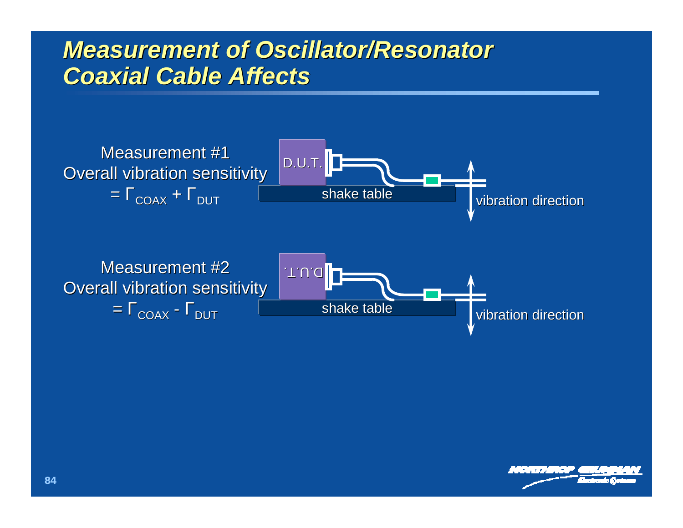#### *Measurement of Oscillator/Resonator Coaxial Cable Affects*



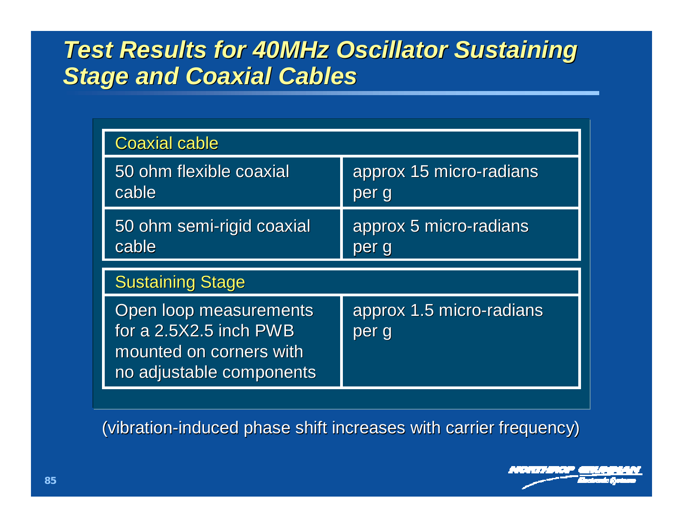# *Test Results for 40MHz Oscillator Sustaining Stage and Coaxial Cables*

| <b>Coaxial cable</b>               |                                  |  |  |
|------------------------------------|----------------------------------|--|--|
| 50 ohm flexible coaxial<br>cable   | approx 15 micro-radians<br>per g |  |  |
| 50 ohm semi-rigid coaxial<br>cable | approx 5 micro-radians<br>per g  |  |  |
| <b>Sustaining Stage</b>            |                                  |  |  |
|                                    |                                  |  |  |

(vibration-induced phase shift increases with carrier frequency)

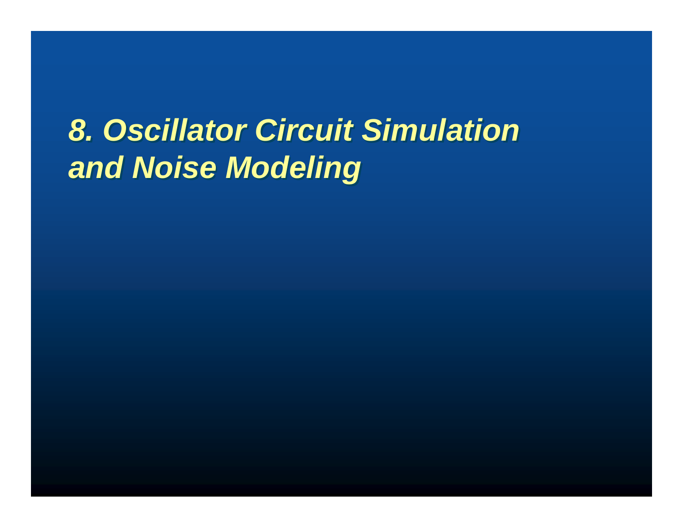# *8. Oscillator Circuit Simulation 8. Oscillator Circuit Simulation and Noise Modeling and Noise Modeling*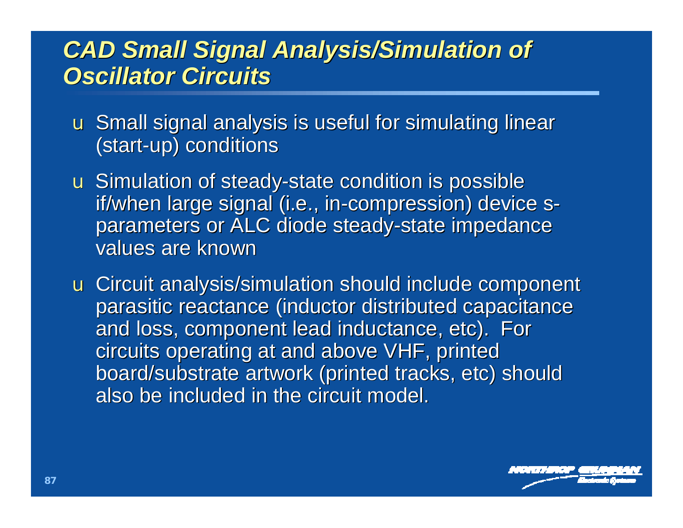## *CAD Small Signal Analysis/Simulation of Oscillator Circuits*

- u Small signal analysis is useful for simulating linear (start-up) conditions
- u Simulation of steady-state condition is possible if/when large signal (i.e., in-compression) device sparameters or ALC diode steady-state impedance values are known
- u Circuit analysis/simulation should include component parasitic reactance (inductor distributed capacitance and loss, component lead inductance, etc). For circuits operating at and above VHF, printed board/substrate artwork (printed tracks, etc) should also be included in the circuit model.

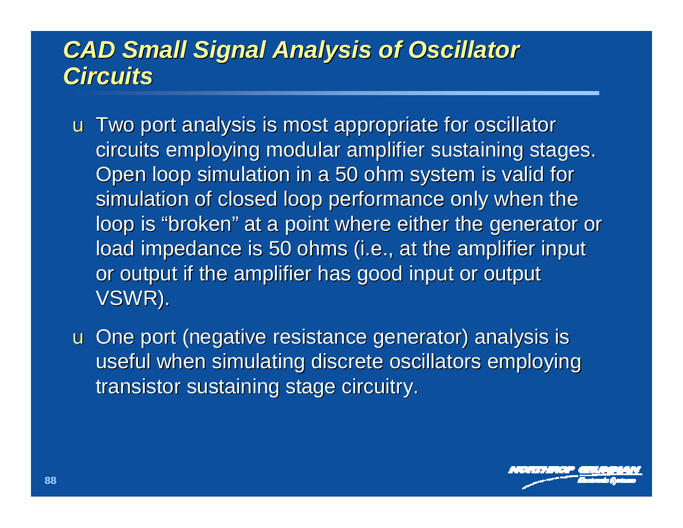# *CAD Small Signal Analysis of Oscillator Circuits*

- u Two port analysis is most appropriate for oscillator circuits employing modular amplifier sustaining stages. Open loop simulation in a 50 ohm system is valid for simulation of closed loop performance only when the loop is "broken" at a point where either the generator or load impedance is 50 ohms (i.e., at the amplifier input or output if the amplifier has good input or output VSWR).
- u One port (negative resistance generator) analysis is useful when simulating discrete oscillators employing transistor sustaining stage circuitry.

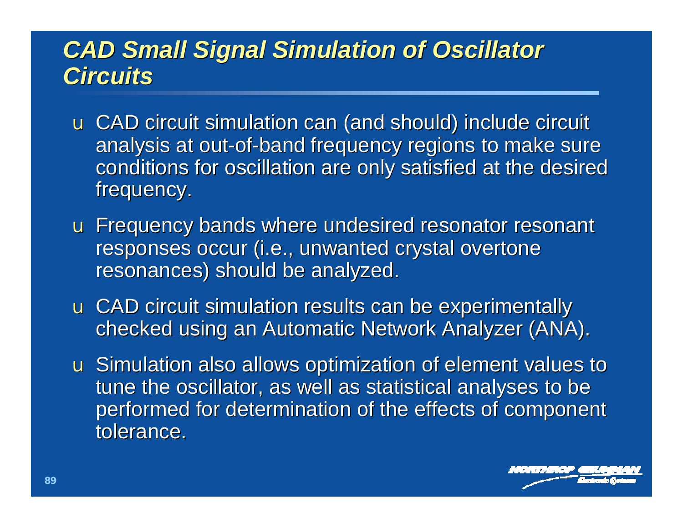# *CAD Small Signal Simulation of Oscillator Circuits*

- u CAD circuit simulation can (and should) include circuit analysis at out-of-band frequency regions to make sure conditions for oscillation are only satisfied at the desired frequency.
- u Frequency bands where undesired resonator resonant responses occur (i.e., unwanted crystal overtone resonances) should be analyzed.
- u CAD circuit simulation results can be experimentally checked using an Automatic Network Analyzer (ANA).
- u Simulation also allows optimization of element values to tune the oscillator, as well as statistical analyses to be performed for determination of the effects of component tolerance.

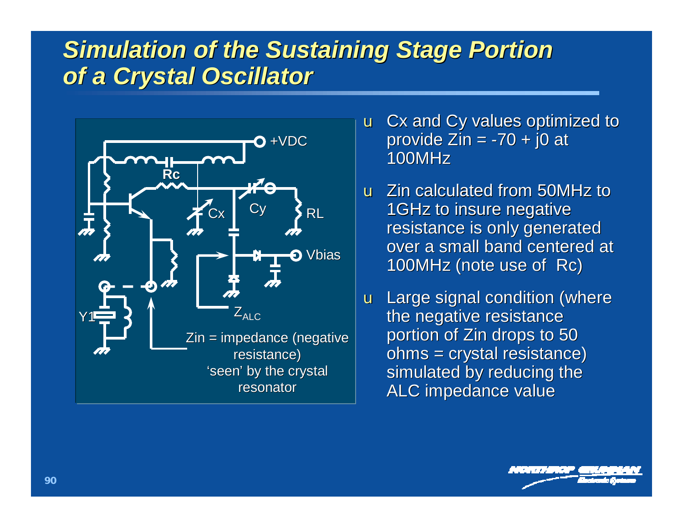# *Simulation of the Sustaining Stage Portion of a Crystal Oscillator*



- u Cx and Cy values optimized to provide  $Zin = -70 + j0$  at 100MHz
- u Zin calculated from 50MHz to 1GHz to insure negative resistance is only generated over a small band centered at 100MHz (note use of Rc)
- u Large signal condition (where the negative resistance portion of Zin drops to 50 ohms = crystal resistance) simulated by reducing the ALC impedance value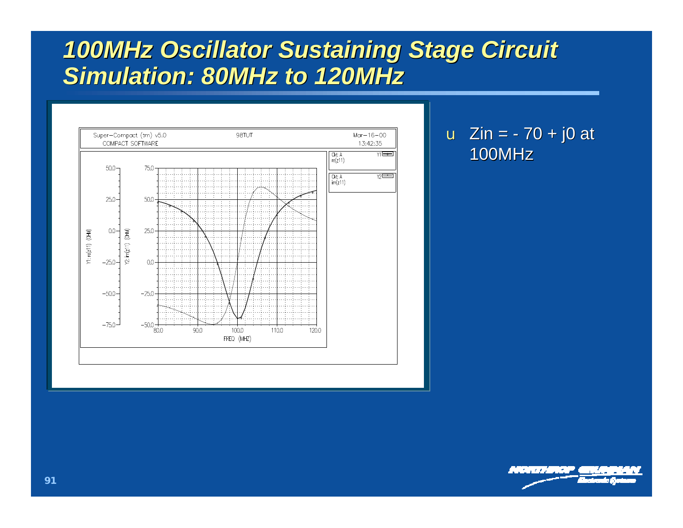# *100MHz Oscillator Sustaining Stage Circuit Simulation: 80MHz to 120MHz*



#### **u** Zin =  $-70 + j0$  at 100MHz

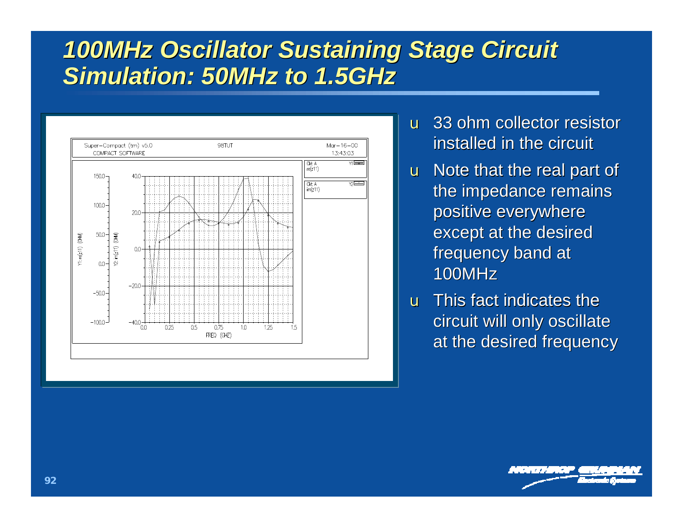# *100MHz Oscillator Sustaining Stage Circuit Simulation: 50MHz to 1.5GHz*



- u 33 ohm collector resistor installed in the circuit
- u Note that the real part of the impedance remains positive everywhere except at the desired frequency band at 100MHz
- u This fact indicates the circuit will only oscillate at the desired frequency

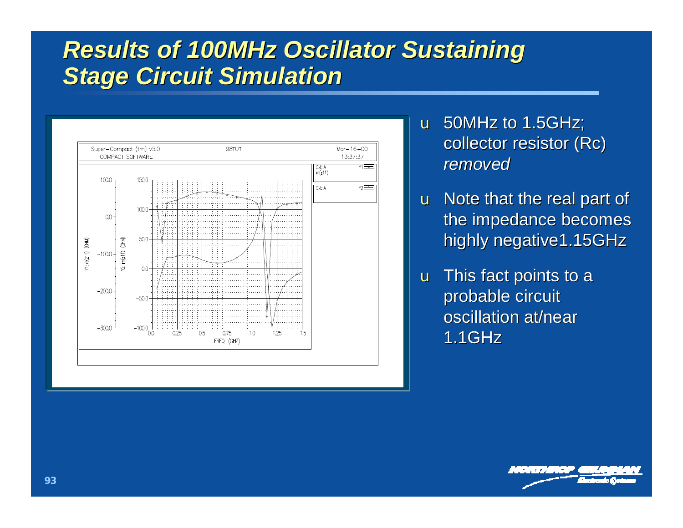# *Results of 100MHz Oscillator Sustaining Stage Circuit Simulation*



- u 50MHz to 1.5GHz; collector resistor (Rc) *removed*
- u Note that the real part of the impedance becomes highly negative1.15GHz
- u This fact points to a probable circuit oscillation at/near 1.1GHz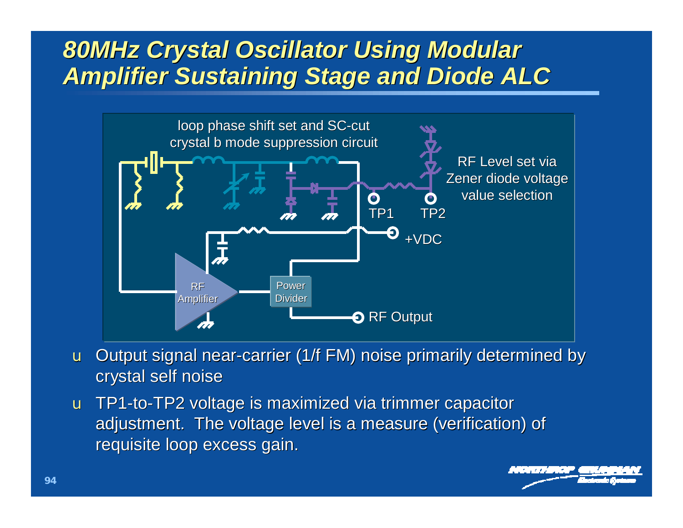# *80MHz Crystal Oscillator Using Modular Amplifier Sustaining Stage and Diode ALC*



- u Output signal near-carrier (1/f FM) noise primarily determined by crystal self noise
- u TP1-to-TP2 voltage is maximized via trimmer capacitor adjustment. The voltage level is a measure (verification) of requisite loop excess gain.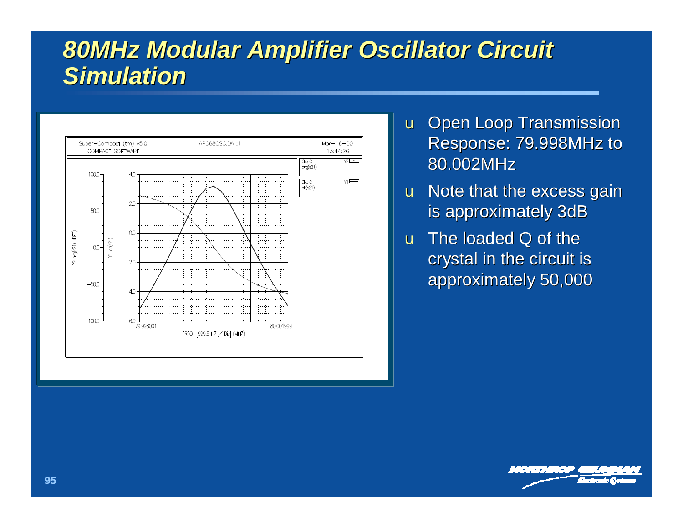# *80MHz Modular Amplifier Oscillator Circuit Simulation*



- u Open Loop Transmission Response: 79.998MHz to 80.002MHz
- u Note that the excess gain is approximately 3dB
- u The loaded Q of the crystal in the circuit is approximately 50,000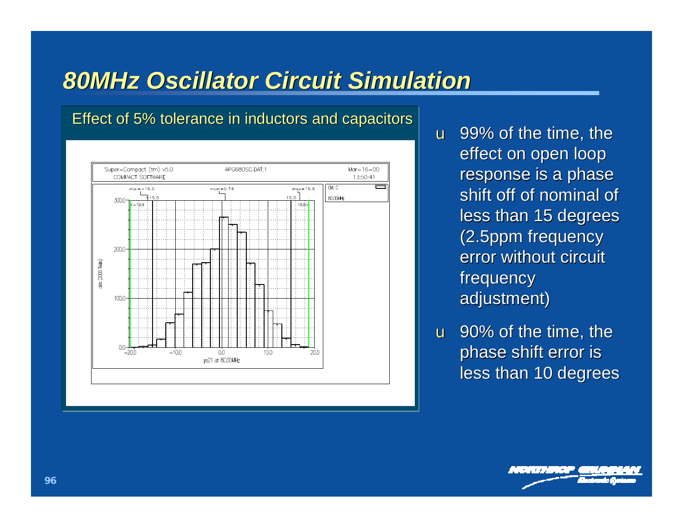#### *80MHz Oscillator Circuit Simulation*

Effect of 5% tolerance in inductors and capacitors



- u 99% of the time, the effect on open loop response is a phase shift off of nominal of less than 15 degrees (2.5ppm frequency error without circuit frequency adjustment)
- u 90% of the time, the phase shift error is less than 10 degrees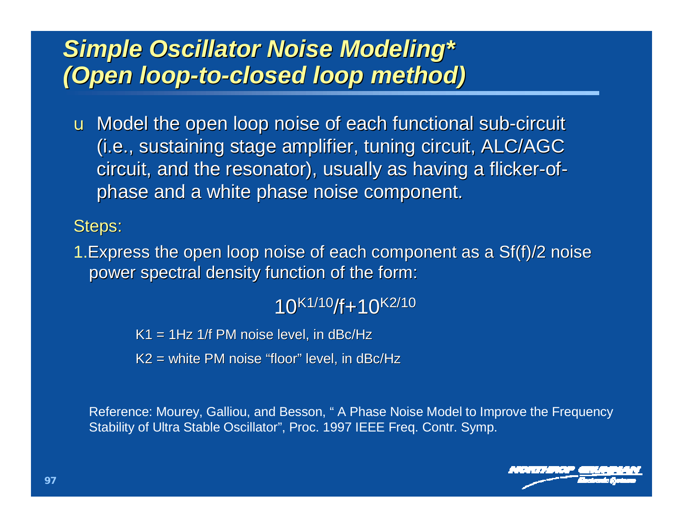### *Simple Oscillator Noise Modeling\* (Open loop-to-closed loop method)*

u Model the open loop noise of each functional sub-circuit (i.e., sustaining stage amplifier, tuning circuit, ALC/AGC circuit, and the resonator), usually as having a flicker-ofphase and a white phase noise component.

Steps:

1.Express the open loop noise of each component as a Sf(f)/2 noise power spectral density function of the form:

#### 10K1/10/f+10K2/10

 $K1 = 1$ Hz 1/f PM noise level, in dBc/Hz K2 = white PM noise "floor" level, in dBc/Hz

Reference: Mourey, Galliou, and Besson, " A Phase Noise Model to Improve the Frequency Stability of Ultra Stable Oscillator", Proc. 1997 IEEE Freq. Contr. Symp.

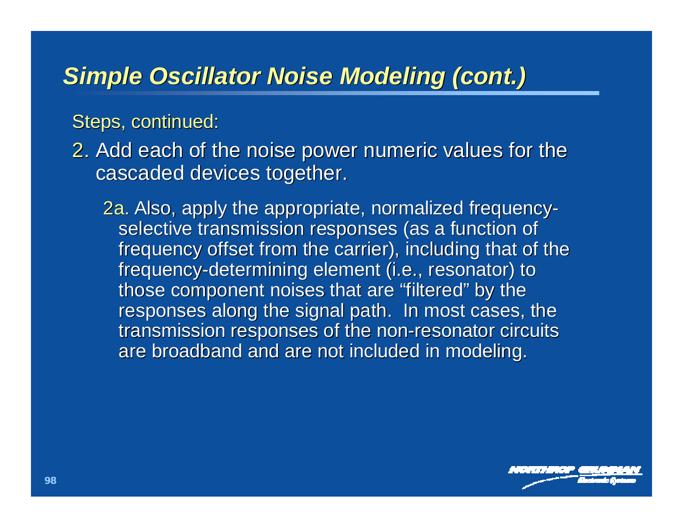#### *Simple Oscillator Noise Modeling (cont.)*

Steps, continued:

2. Add each of the noise power numeric values for the cascaded devices together.

2a. Also, apply the appropriate, normalized frequencyselective transmission responses (as a function of frequency offset from the carrier), including that of the frequency-determining element (i.e., resonator) to those component noises that are "filtered" by the responses along the signal path. In most cases, the transmission responses of the non-resonator circuits are broadband and are not included in modeling.

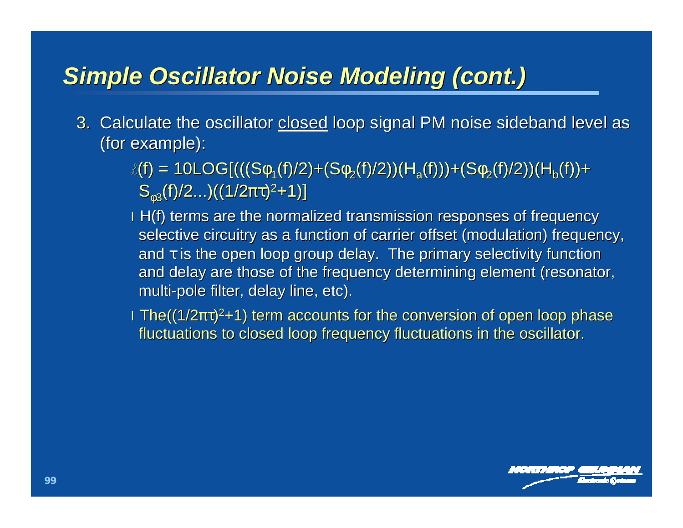#### *Simple Oscillator Noise Modeling (cont.)*

- 3. Calculate the oscillator closed loop signal PM noise sideband level as (for example): :
	- $(f) = 10LOG[((S\phi_1(f)/2)+(S\phi_2(f)/2))(H_a(f)))+(S\phi_2(f)/2))(H_b(f))+$  ${\sf S}_{_{\varphi 3}}(\mathsf{f})/2...)((1/2\pi\tau)^2$ +1)]
	- I H(f) terms are the normalized transmission responses of frequency selective circuitry as a function of carrier offset (modulation) frequency, and  $\tau$  is the open loop group delay. The primary selectivity function and delay are those of the frequency determining element (resonator, multi-pole filter, delay line, etc).
	- I The( $(1/2πτ)^2+1$ ) term accounts for the conversion of open loop phase fluctuations to closed loop frequency fluctuations in the oscillator.

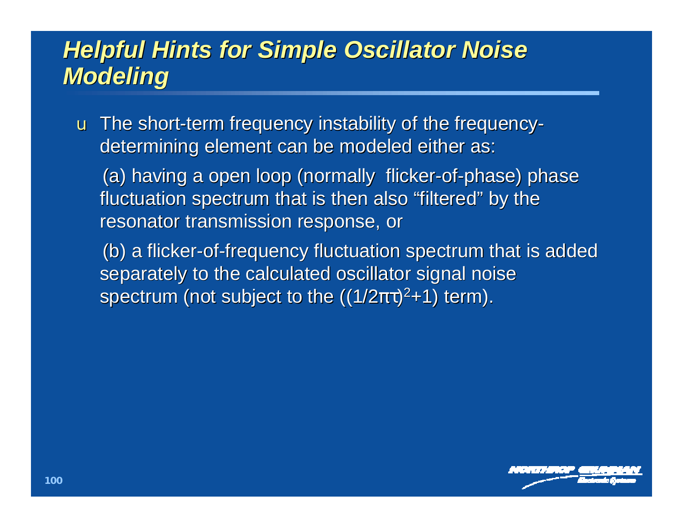# *Helpful Hints for Simple Oscillator Noise Modeling*

u The short-term frequency instability of the frequencydetermining element can be modeled either as:

(a) having a open loop (normally flicker-of-phase) phase fluctuation spectrum that is then also "filtered" by the resonator transmission response, or

(b) a flicker-of-frequency fluctuation spectrum that is added separately to the calculated oscillator signal noise spectrum (not subject to the  $((1/2\pi\tau)^2+1)$  term).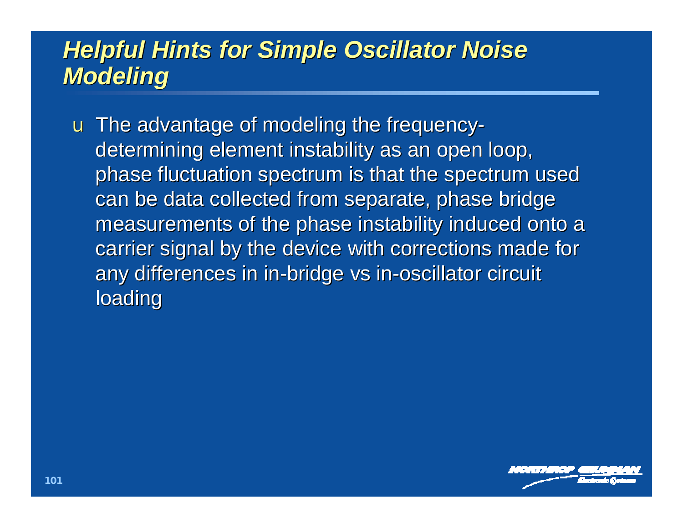# *Helpful Hints for Simple Oscillator Noise Modeling*

u The advantage of modeling the frequencydetermining element instability as an open loop, phase fluctuation spectrum is that the spectrum used can be data collected from separate, phase bridge measurements of the phase instability induced onto a carrier signal by the device with corrections made for any differences in in-bridge vs in-oscillator circuit loading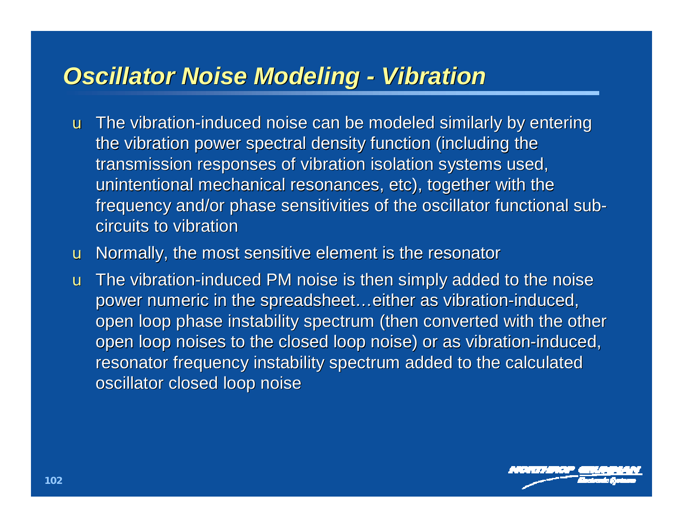#### *Oscillator Noise Modeling - Vibration*

- u The vibration-induced noise can be modeled similarly by entering the vibration power spectral density function (including the transmission responses of vibration isolation systems used, unintentional mechanical resonances, etc), together with the frequency and/or phase sensitivities of the oscillator functional subcircuits to vibration
- u Normally, the most sensitive element is the resonator
- u The vibration-induced PM noise is then simply added to the noise power numeric in the spreadsheet…either as vibration-induced, open loop phase instability spectrum (then converted with the other open loop noises to the closed loop noise) or as vibration-induced, resonator frequency instability spectrum added to the calculated oscillator closed loop noise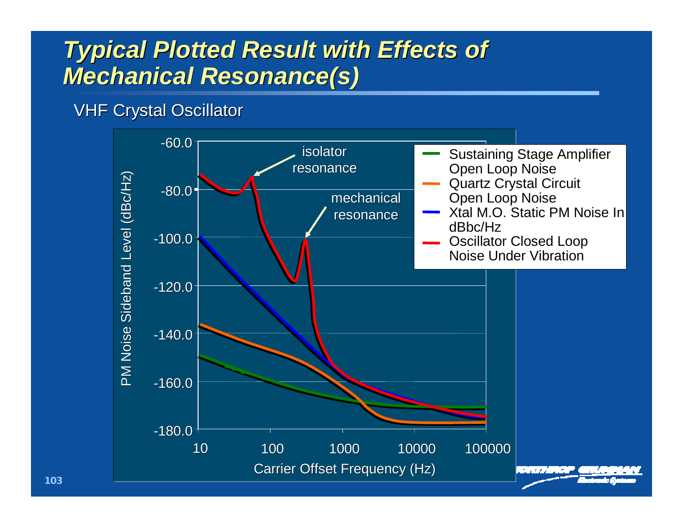# **Typical Plotted Result with Effects of** *Mechanical Resonance(s)*

#### VHF Crystal Oscillator

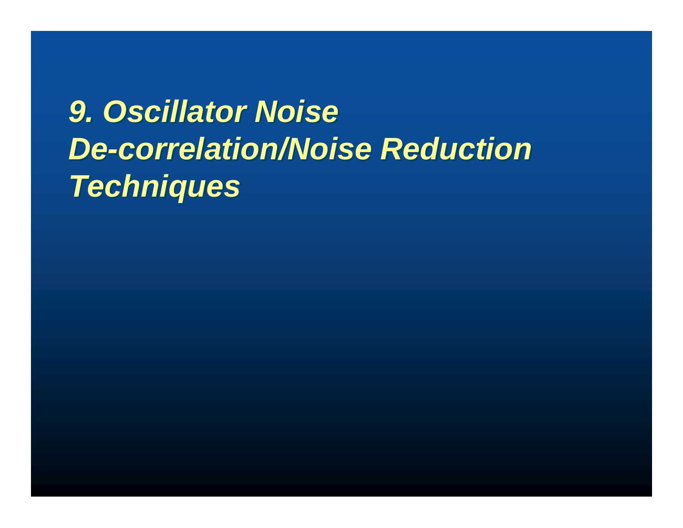# *9. Oscillator Noise 9. Oscillator Noise De-correlation/Noise Reduction De-correlation/Noise Reduction Techniques Techniques*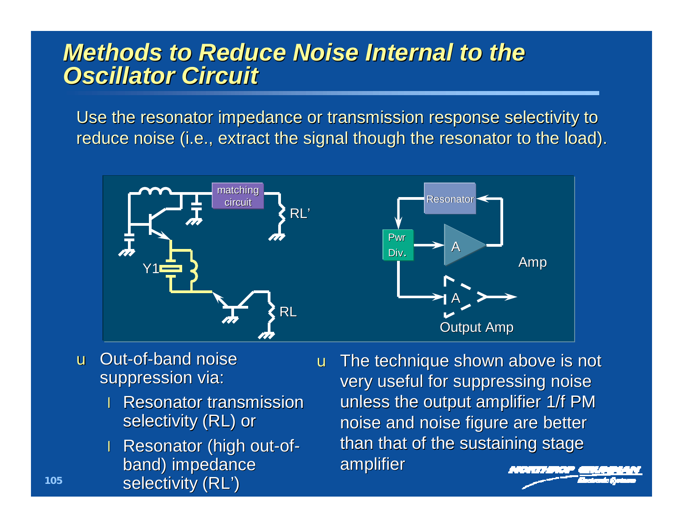#### *Methods to Reduce Noise Internal to the Oscillator Circuit*

Use the resonator impedance or transmission response selectivity to reduce noise (i.e., extract the signal though the resonator to the load).



- u Out-of-band noise suppression via:
	- **I** Resonator transmission selectivity (RL) or
	- l Resonator (high out-ofband) impedance selectivity (RL')
- u The technique shown above is not very useful for suppressing noise unless the output amplifier 1/f PM noise and noise figure are better than that of the sustaining stage amplifier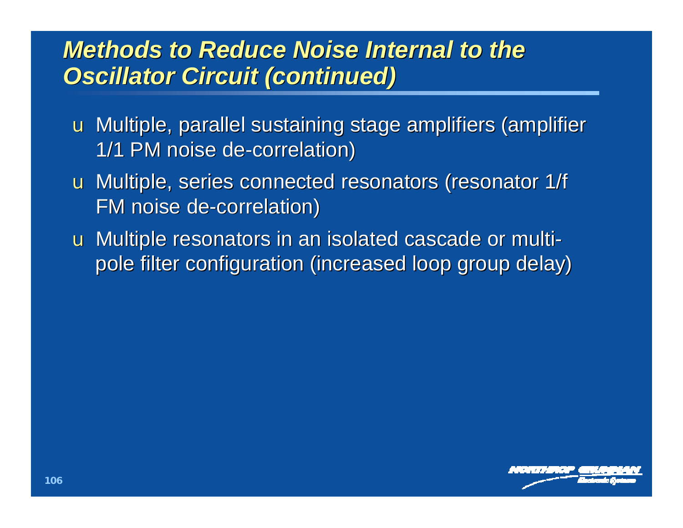### *Methods to Reduce Noise Internal to the Oscillator Circuit (continued)*

u Multiple, parallel sustaining stage amplifiers (amplifier 1/1 PM noise de-correlation)

- u Multiple, series connected resonators (resonator 1/f FM noise de-correlation)
- u Multiple resonators in an isolated cascade or multipole filter configuration (increased loop group delay)

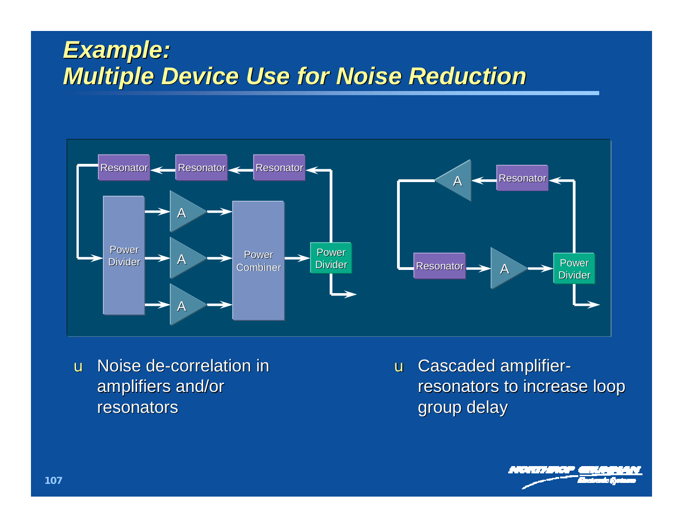#### *Example: Multiple Device Use for Noise Reduction*



u Noise de-correlation in amplifiers and/or resonators

u Cascaded amplifierresonators to increase loop group delay

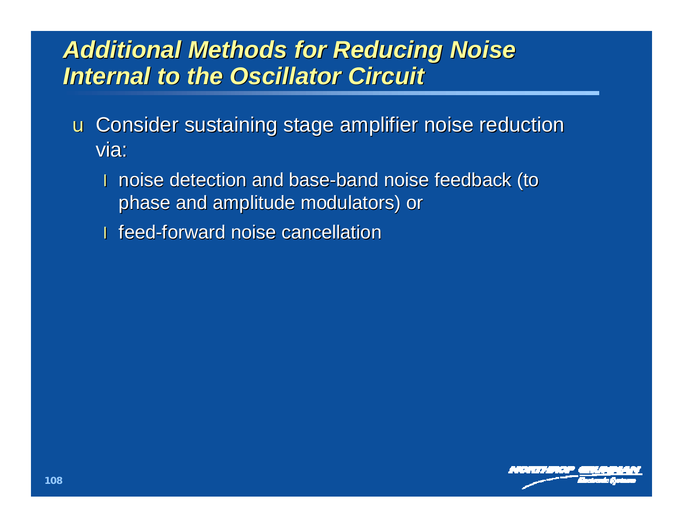# *Additional Methods for Reducing Noise Internal to the Oscillator Circuit*

u Consider sustaining stage amplifier noise reduction via:

- l noise detection and base-band noise feedback (to phase and amplitude modulators) or
- l feed-forward noise cancellation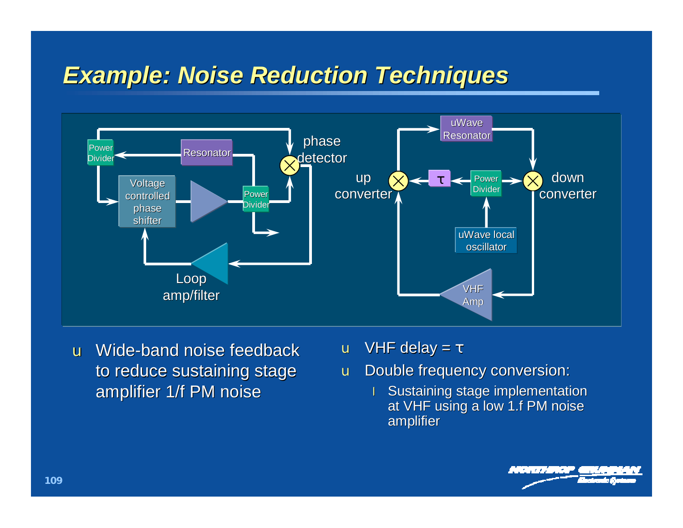### *Example: Noise Reduction Techniques*



- u Wide-band noise feedback to reduce sustaining stage amplifier 1/f PM noise
- u VHF delay =  $\tau$
- u Double frequency conversion:
	- l Sustaining stage implementation at VHF using a low 1.f PM noise amplifier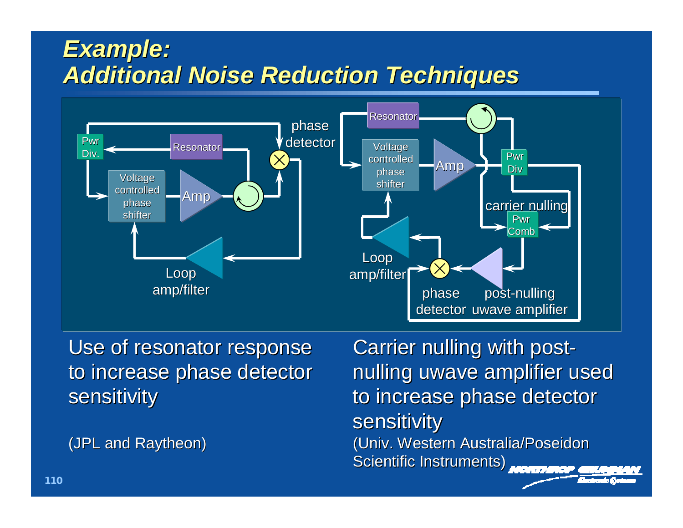## *Example: Additional Noise Reduction Techniques*



Use of resonator response to increase phase detector sensitivity

(JPL and Raytheon)

Carrier nulling with postnulling uwave amplifier used to increase phase detector **sensitivity** (Univ. Western Australia/Poseidon Scientific Instruments)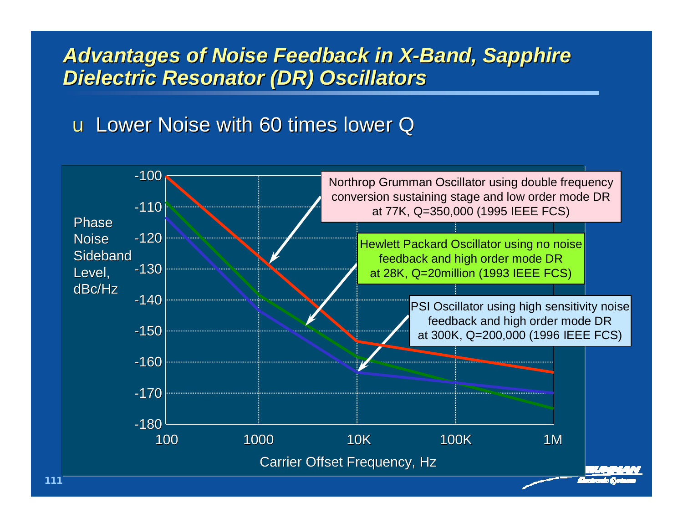#### *Advantages of Noise Feedback in X-Band, Sapphire Dielectric Resonator (DR) Oscillators*

#### u Lower Noise with 60 times lower Q

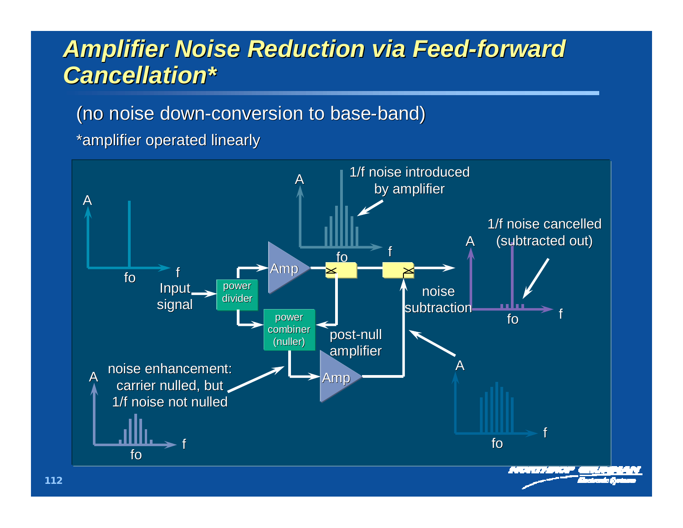# *Amplifier Noise Reduction via Feed-forward Cancellation\**

(no noise down-conversion to base-band)

\*amplifier operated linearly

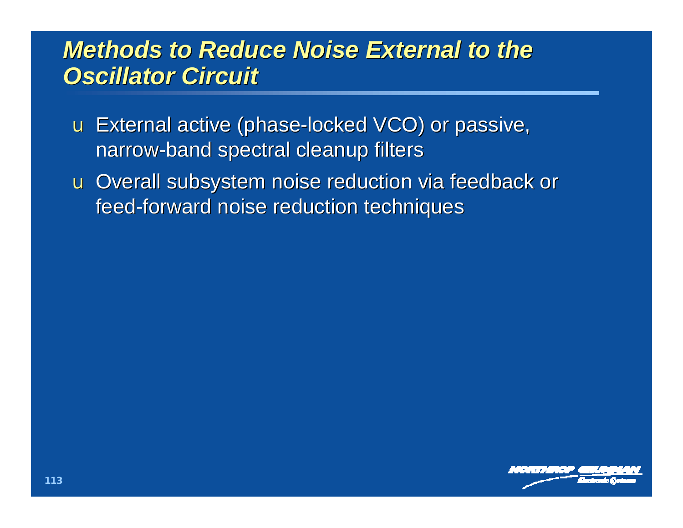## *Methods to Reduce Noise External to the Oscillator Circuit*

u External active (phase-locked VCO) or passive, narrow-band spectral cleanup filters

u Overall subsystem noise reduction via feedback or feed-forward noise reduction techniques

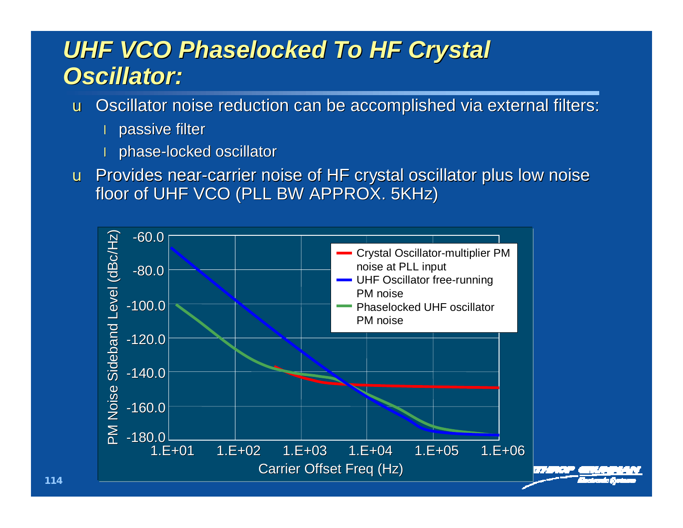# *UHF VCO Phaselocked To HF Crystal Oscillator:*

u Oscillator noise reduction can be accomplished via external filters:

- l passive filter
- phase-locked oscillator
- u Provides near-carrier noise of HF crystal oscillator plus low noise floor of UHF VCO (PLL BW APPROX. 5KHz)

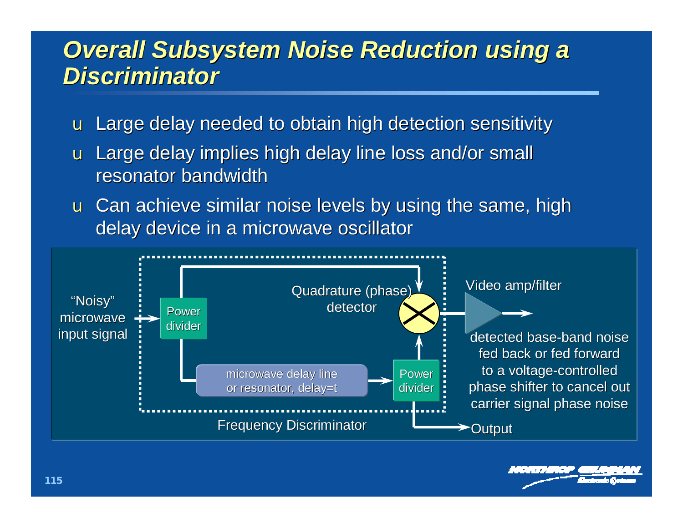### *Overall Subsystem Noise Reduction using a Discriminator*

u Large delay needed to obtain high detection sensitivity

u Large delay implies high delay line loss and/or small resonator bandwidth

**115**

u Can achieve similar noise levels by using the same, high delay device in a microwave oscillator

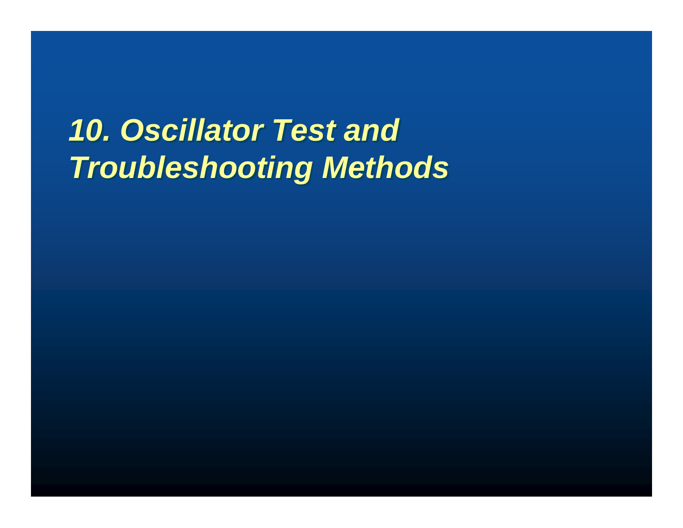# *10. Oscillator Test and 10. Oscillator Test and Troubleshooting Methods Troubleshooting Methods*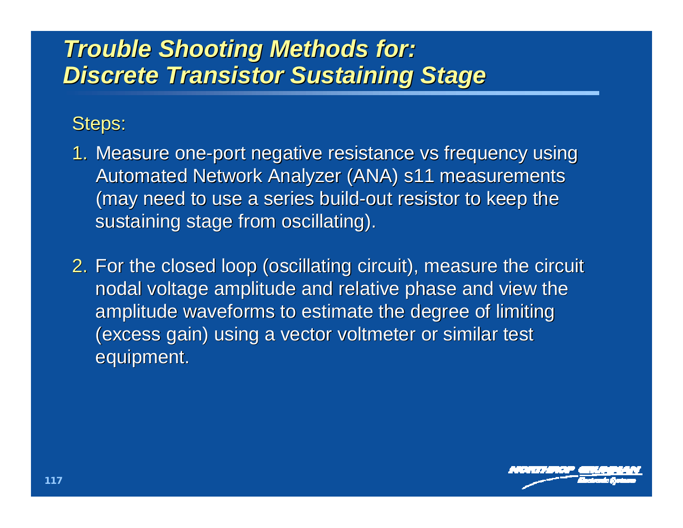# *Trouble Shooting Methods for: Discrete Transistor Sustaining Stage*

#### Steps:

- 1. Measure one-port negative resistance vs frequency using Automated Network Analyzer (ANA) s11 measurements (may need to use a series build-out resistor to keep the sustaining stage from oscillating).
- 2. For the closed loop (oscillating circuit), measure the circuit nodal voltage amplitude and relative phase and view the amplitude waveforms to estimate the degree of limiting (excess gain) using a vector voltmeter or similar test equipment.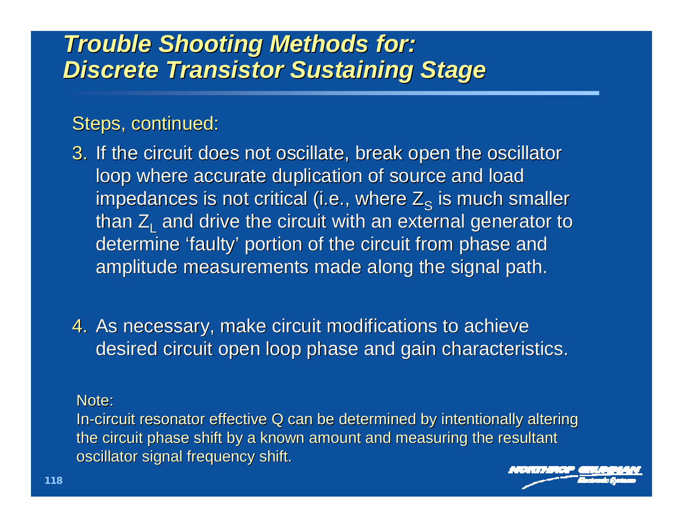## *Trouble Shooting Methods for: Discrete Transistor Sustaining Stage*

#### Steps, continued:

- 3. If the circuit does not oscillate, break open the oscillator loop where accurate duplication of source and load impedances is not critical (i.e., where  $\mathsf{Z}_\mathsf{S}$  is much smaller than  $\mathsf{Z}_\mathsf{L}$  and drive the circuit with an external generator to determine 'faulty' portion of the circuit from phase and amplitude measurements made along the signal path.
- 4. As necessary, make circuit modifications to achieve desired circuit open loop phase and gain characteristics.

#### Note:

In-circuit resonator effective Q can be determined by intentionally altering the circuit phase shift by a known amount and measuring the resultant oscillator signal frequency shift.

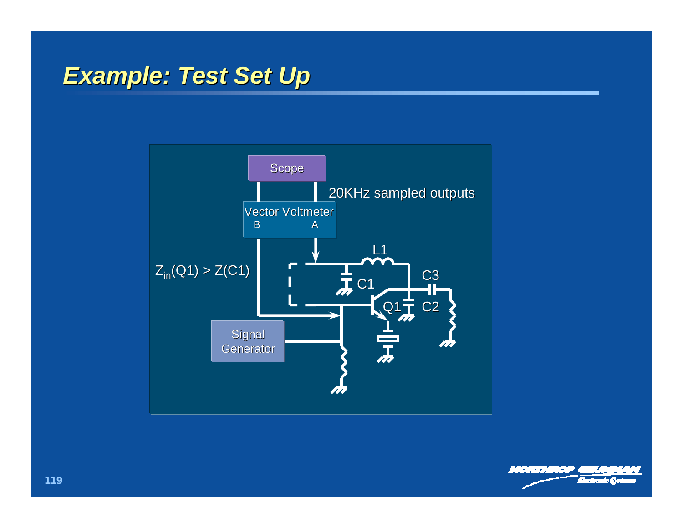# *Example: Test Set Up*

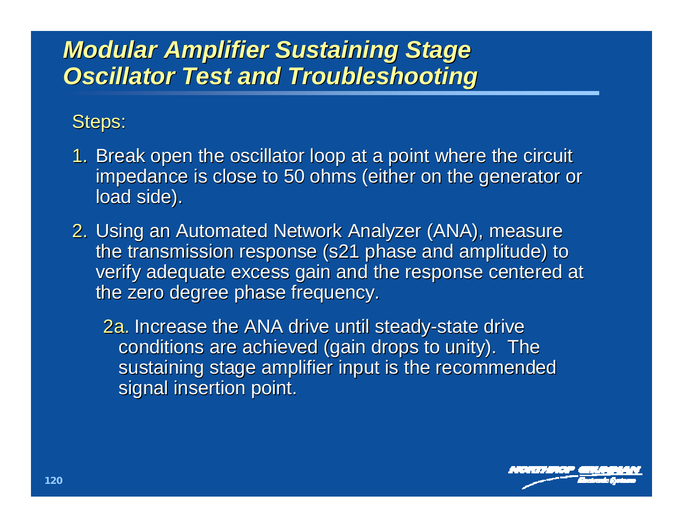# *Modular Amplifier Sustaining Stage Oscillator Test and Troubleshooting*

#### Steps:

- 1. Break open the oscillator loop at a point where the circuit impedance is close to 50 ohms (either on the generator or load side).
- 2. Using an Automated Network Analyzer (ANA), measure the transmission response (s21 phase and amplitude) to verify adequate excess gain and the response centered at the zero degree phase frequency.
	- 2a. Increase the ANA drive until steady-state drive conditions are achieved (gain drops to unity). The sustaining stage amplifier input is the recommended signal insertion point.

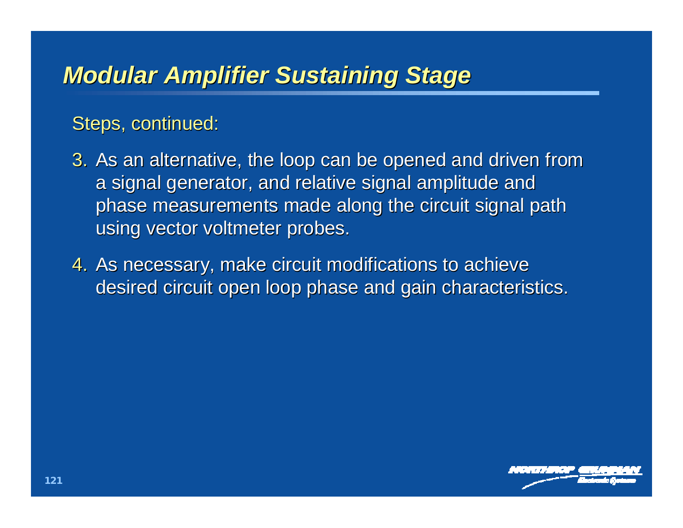# *Modular Amplifier Sustaining Stage*

#### Steps, continued:

- 3. As an alternative, the loop can be opened and driven from a signal generator, and relative signal amplitude and phase measurements made along the circuit signal path using vector voltmeter probes.
- 4. As necessary, make circuit modifications to achieve desired circuit open loop phase and gain characteristics.

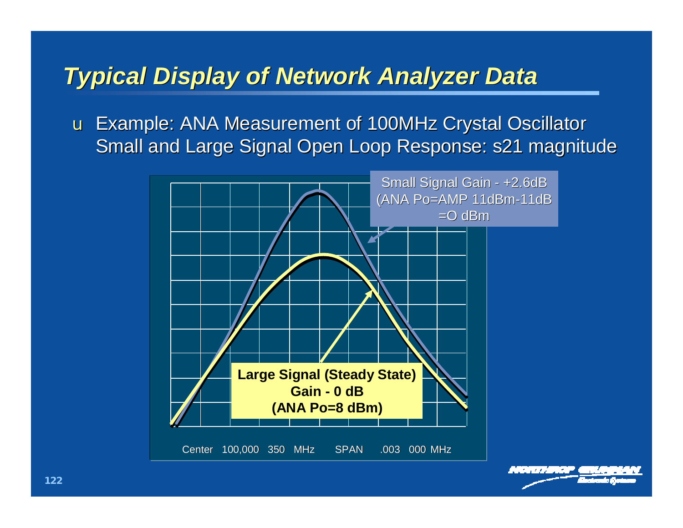# *Typical Display of Network Analyzer Data*

u Example: ANA Measurement of 100MHz Crystal Oscillator Small and Large Signal Open Loop Response: s21 magnitude



**122**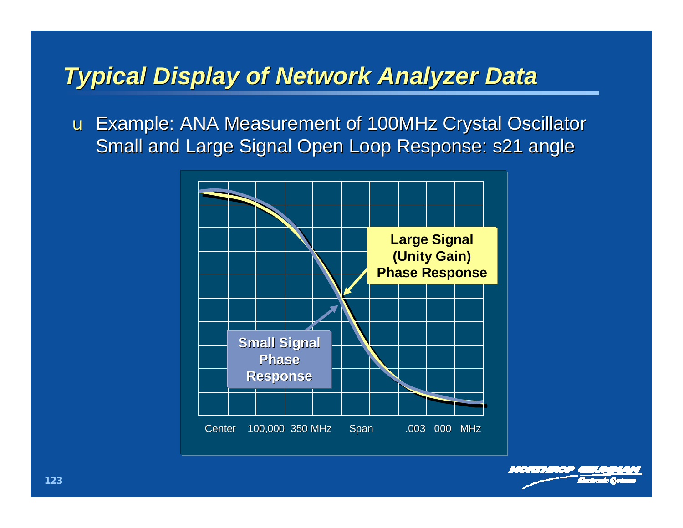# *Typical Display of Network Analyzer Data*

u Example: ANA Measurement of 100MHz Crystal Oscillator Small and Large Signal Open Loop Response: s21 angle

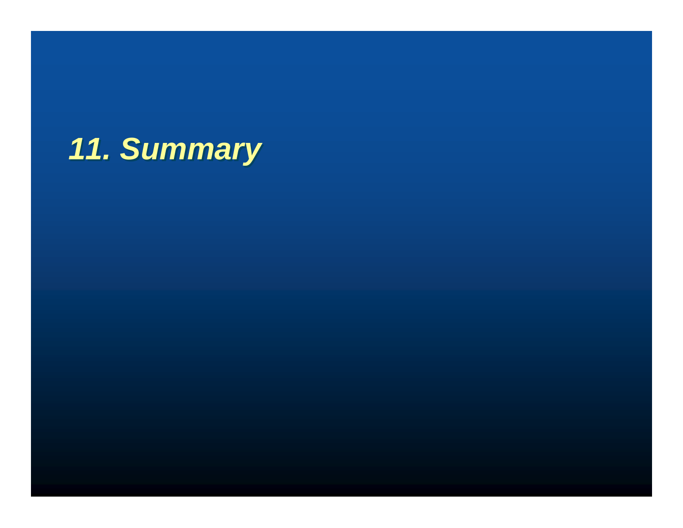# *11. Summary*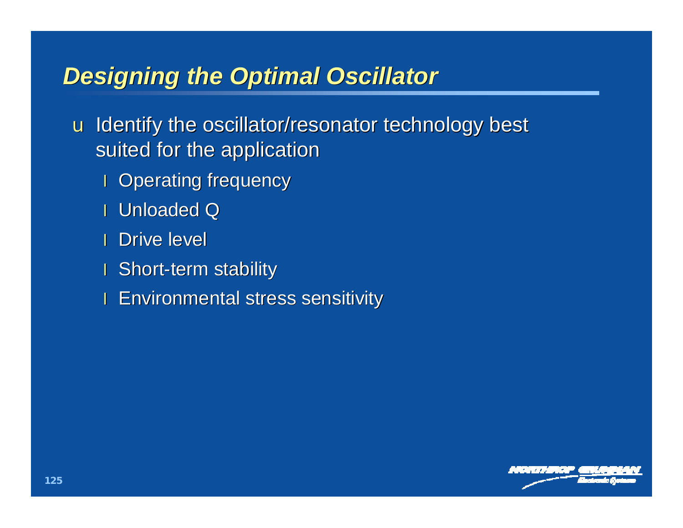# *Designing the Optimal Oscillator*

u Identify the oscillator/resonator technology best suited for the application

- l Operating frequency
- l Unloaded Q
- l Drive level
- l Short-term stability
- **I Environmental stress sensitivity**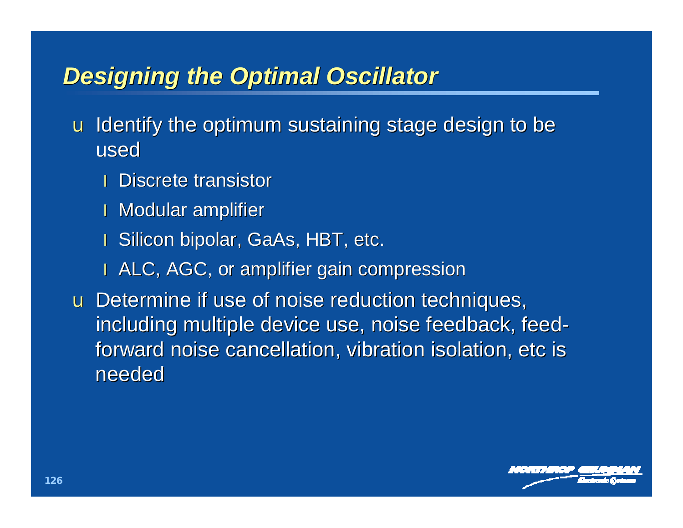# *Designing the Optimal Oscillator*

u Identify the optimum sustaining stage design to be used

- l Discrete transistor
- l Modular amplifier
- l Silicon bipolar, GaAs, HBT, etc.
- l ALC, AGC, or amplifier gain compression

u Determine if use of noise reduction techniques, including multiple device use, noise feedback, feedforward noise cancellation, vibration isolation, etc is needed

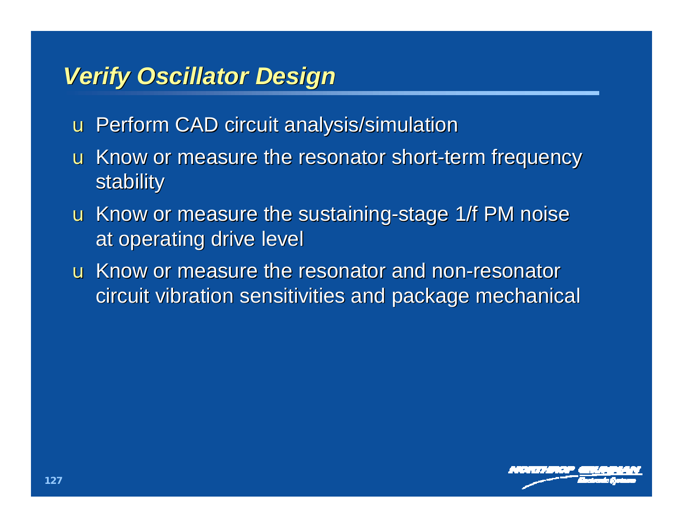## *Verify Oscillator Design*

u Perform CAD circuit analysis/simulation

- u Know or measure the resonator short-term frequency stability
- u Know or measure the sustaining-stage 1/f PM noise at operating drive level
- u Know or measure the resonator and non-resonator circuit vibration sensitivities and package mechanical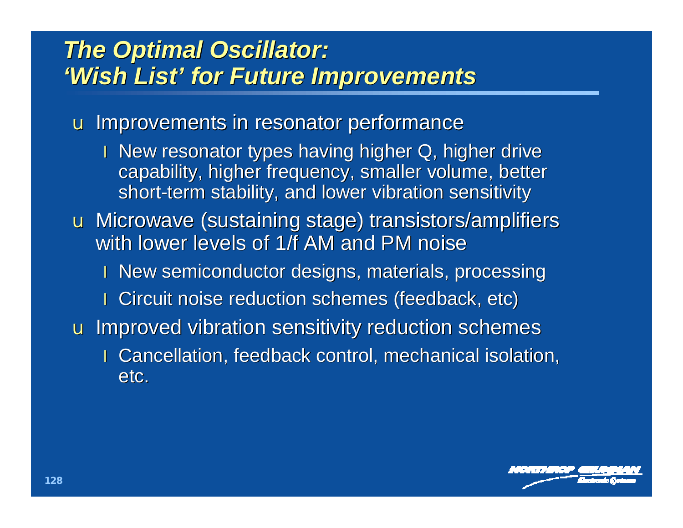# *The Optimal Oscillator: 'Wish List' for Future Improvements*

u Improvements in resonator performance

- I New resonator types having higher Q, higher drive capability, higher frequency, smaller volume, better short-term stability, and lower vibration sensitivity
- u Microwave (sustaining stage) transistors/amplifiers with lower levels of 1/f AM and PM noise
	- **I** New semiconductor designs, materials, processing
	- l Circuit noise reduction schemes (feedback, etc)
- u Improved vibration sensitivity reduction schemes
	- l Cancellation, feedback control, mechanical isolation, etc.

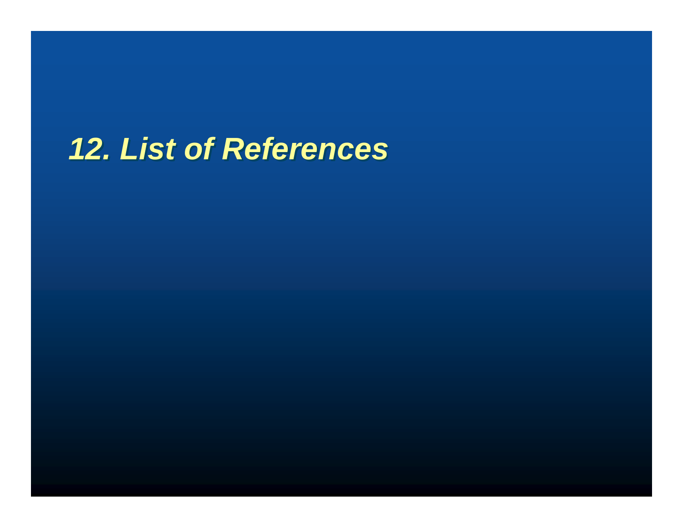# *12. List of References*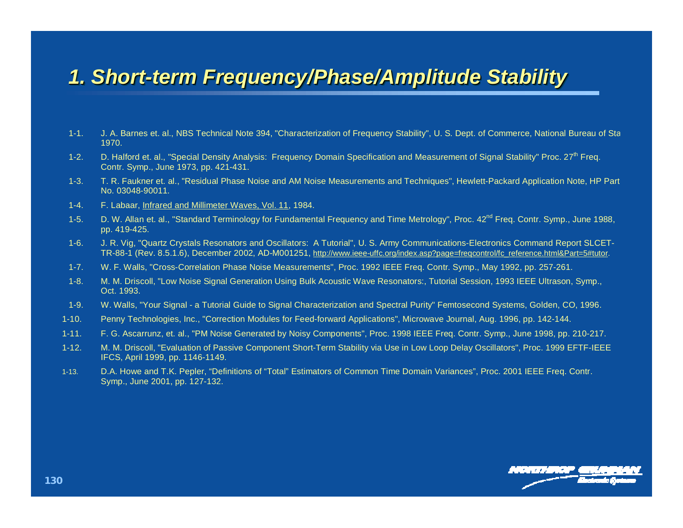#### 1. Short-term Frequency/Phase/Amplitude Stability

- J. A. Barnes et. al., NBS Technical Note 394, "Characterization of Frequency Stability", U. S. Dept. of Commerce, National Bureau of Sta  $1 - 1.$ 1970.
- D. Halford et. al., "Special Density Analysis: Frequency Domain Specification and Measurement of Signal Stability" Proc. 27<sup>th</sup> Freq.  $1-2.$ Contr. Symp., June 1973, pp. 421-431.
- T. R. Faukner et. al., "Residual Phase Noise and AM Noise Measurements and Techniques", Hewlett-Packard Application Note, HP Part  $1-3.$ No. 03048-90011.
- $1-4.$ F. Labaar, Infrared and Millimeter Waves, Vol. 11, 1984.
- D. W. Allan et. al., "Standard Terminology for Fundamental Frequency and Time Metrology", Proc. 42<sup>nd</sup> Freq. Contr. Symp., June 1988,  $1-5.$ pp. 419-425.
- $1-6.$ J. R. Vig. "Quartz Crystals Resonators and Oscillators: A Tutorial", U. S. Army Communications-Electronics Command Report SLCET-TR-88-1 (Rev. 8.5.1.6), December 2002, AD-M001251, http://www.ieee-uffc.org/index.asp?page=freqcontrol/fc\_reference.html&Part=5#tutor.
- W. F. Walls, "Cross-Correlation Phase Noise Measurements", Proc. 1992 IEEE Freq. Contr. Symp., May 1992, pp. 257-261.  $1 - 7.$
- M. M. Driscoll, "Low Noise Signal Generation Using Bulk Acoustic Wave Resonators:, Tutorial Session, 1993 IEEE Ultrason, Symp.,  $1 - 8.$ Oct. 1993.
- $1 9.$ W. Walls, "Your Signal - a Tutorial Guide to Signal Characterization and Spectral Purity" Femtosecond Systems, Golden, CO, 1996.
- $1 10.$ Penny Technologies, Inc., "Correction Modules for Feed-forward Applications", Microwave Journal, Aug. 1996, pp. 142-144.
- $1 11.$ F. G. Ascarrunz, et. al., "PM Noise Generated by Noisy Components", Proc. 1998 IEEE Freg. Contr. Symp., June 1998, pp. 210-217.
- $1 12.$ M. M. Driscoll, "Evaluation of Passive Component Short-Term Stability via Use in Low Loop Delay Oscillators", Proc. 1999 EFTF-IEEE IFCS, April 1999, pp. 1146-1149.
- $1 13.$ D.A. Howe and T.K. Pepler, "Definitions of "Total" Estimators of Common Time Domain Variances", Proc. 2001 IEEE Freq. Contr. Symp., June 2001, pp. 127-132.

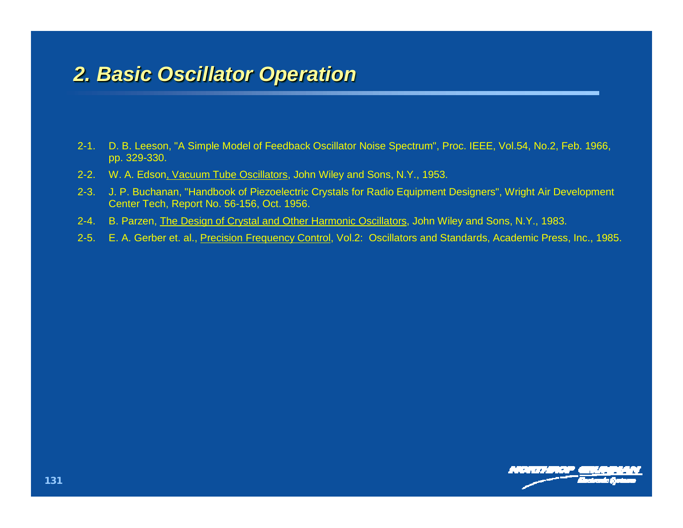#### **2. Basic Oscillator Operation**

- 2-1. D. B. Leeson, "A Simple Model of Feedback Oscillator Noise Spectrum", Proc. IEEE, Vol.54, No.2, Feb. 1966, pp. 329-330.
- 2-2. W. A. Edson, Vacuum Tube Oscillators, John Wiley and Sons, N.Y., 1953.
- 2-3. J. P. Buchanan, "Handbook of Piezoelectric Crystals for Radio Equipment Designers", Wright Air Development Center Tech, Report No. 56-156, Oct. 1956.
- 2-4. B. Parzen, The Design of Crystal and Other Harmonic Oscillators, John Wiley and Sons, N.Y., 1983.
- 2-5. E. A. Gerber et. al., Precision Frequency Control, Vol.2: Oscillators and Standards, Academic Press, Inc., 1985.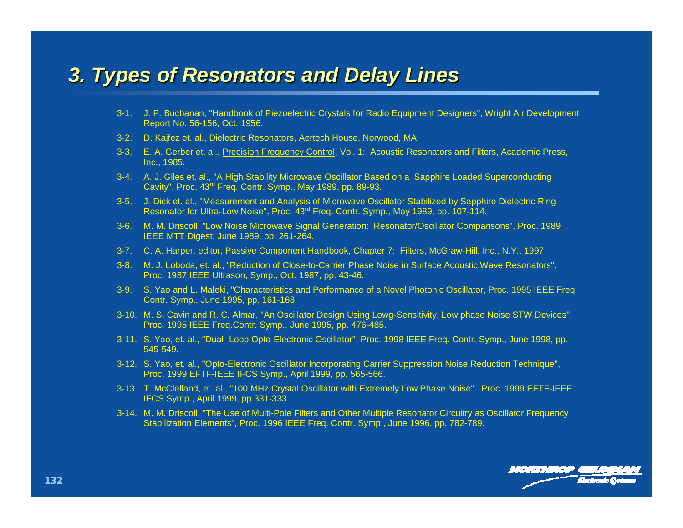#### **3. Types of Resonators and Delay Lines**

- 3-1. J. P. Buchanan, "Handbook of Piezoelectric Crystals for Radio Equipment Designers", Wright Air Development Report No. 56-156, Oct. 1956.
- 3-2. D. Kajfez et. al., Dielectric Resonators, Aertech House, Norwood, MA.
- 3-3. E. A. Gerber et. al., Precision Frequency Control, Vol. 1: Acoustic Resonators and Filters, Academic Press, Inc., 1985.
- 3-4. A. J. Giles et. al., "A High Stability Microwave Oscillator Based on a Sapphire Loaded Superconducting Cavity", Proc. 43<sup>rd</sup> Freq. Contr. Symp., May 1989, pp. 89-93.
- 3-5. J. Dick et. al., "Measurement and Analysis of Microwave Oscillator Stabilized by Sapphire Dielectric Ring Resonator for Ultra-Low Noise", Proc. 43<sup>rd</sup> Freq. Contr. Symp., May 1989, pp. 107-114.
- 3-6. M. M. Driscoll, "Low Noise Microwave Signal Generation: Resonator/Oscillator Comparisons", Proc. 1989 IEEE MTT Digest, June 1989, pp. 261-264.
- 3-7. C. A. Harper, editor, Passive Component Handbook, Chapter 7: Filters, McGraw-Hill, Inc., N.Y., 1997.
- 3-8. M. J. Loboda, et. al., "Reduction of Close-to-Carrier Phase Noise in Surface Acoustic Wave Resonators", Proc. 1987 IEEE Ultrason, Symp., Oct. 1987, pp. 43-46.
- 3-9. S. Yao and L. Maleki, "Characteristics and Performance of a Novel Photonic Oscillator, Proc. 1995 IEEE Freq. Contr. Symp., June 1995, pp. 161-168.
- 3-10. M. S. Cavin and R. C. Almar, "An Oscillator Design Using Lowg-Sensitivity, Low phase Noise STW Devices", Proc. 1995 IEEE Freq.Contr. Symp., June 1995, pp. 476-485.
- 3-11. S. Yao, et. al., "Dual -Loop Opto-Electronic Oscillator", Proc. 1998 IEEE Freq. Contr. Symp., June 1998, pp. 545-549.
- 3-12. S. Yao, et. al., "Opto-Electronic Oscillator Incorporating Carrier Suppression Noise Reduction Technique", Proc. 1999 EFTF-IEEE IFCS Symp., April 1999, pp. 565-566.
- 3-13. T. McClelland, et. al., "100 MHz Crystal Oscillator with Extremely Low Phase Noise". Proc. 1999 EFTF-IEEE IFCS Symp., April 1999, pp.331-333.
- 3-14. M. M. Driscoll, "The Use of Multi-Pole Filters and Other Multiple Resonator Circuitry as Oscillator Frequency Stabilization Elements", Proc. 1996 IEEE Freq. Contr. Symp., June 1996, pp. 782-789.

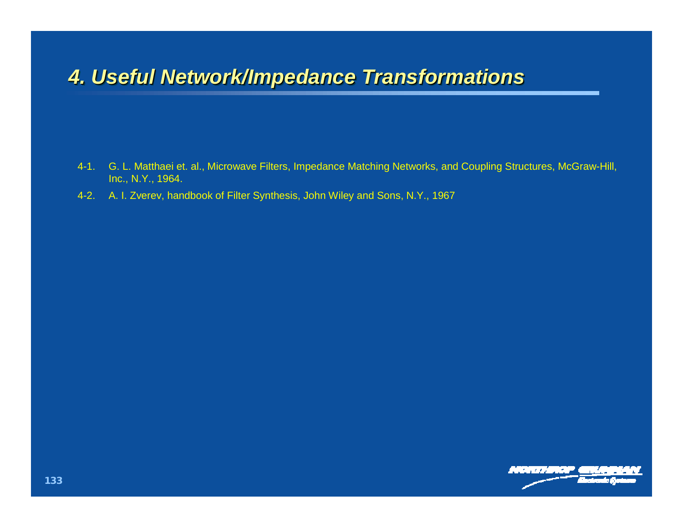#### 4. Useful Network/Impedance Transformations

- G. L. Matthaei et. al., Microwave Filters, Impedance Matching Networks, and Coupling Structures, McGraw-Hill,  $4 - 1$ . Inc., N.Y., 1964.
- 4-2. A. I. Zverev, handbook of Filter Synthesis, John Wiley and Sons, N.Y., 1967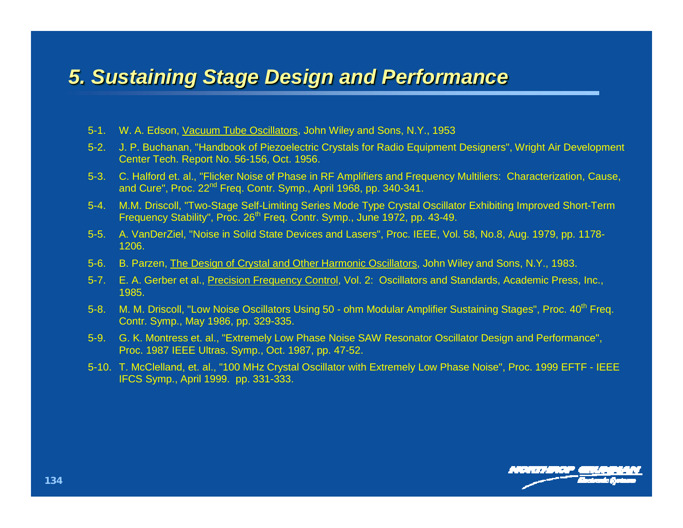#### **5. Sustaining Stage Design and Performance**

- 5-1. W. A. Edson, Vacuum Tube Oscillators, John Wiley and Sons, N.Y., 1953
- 5-2. J. P. Buchanan, "Handbook of Piezoelectric Crystals for Radio Equipment Designers", Wright Air Development Center Tech. Report No. 56-156, Oct. 1956.
- 5-3. C. Halford et. al., "Flicker Noise of Phase in RF Amplifiers and Frequency Multiliers: Characterization, Cause, and Cure", Proc. 22<sup>nd</sup> Freq. Contr. Symp., April 1968, pp. 340-341.
- M.M. Driscoll, "Two-Stage Self-Limiting Series Mode Type Crystal Oscillator Exhibiting Improved Short-Term  $5-4.$ Frequency Stability", Proc. 26<sup>th</sup> Freq. Contr. Symp., June 1972, pp. 43-49.
- 5-5. A. VanDerZiel, "Noise in Solid State Devices and Lasers", Proc. IEEE, Vol. 58, No.8, Aug. 1979, pp. 1178-1206.
- 5-6. B. Parzen, The Design of Crystal and Other Harmonic Oscillators, John Wiley and Sons, N.Y., 1983.
- 5-7. E. A. Gerber et al., Precision Frequency Control, Vol. 2: Oscillators and Standards, Academic Press, Inc., 1985.
- 5-8. M. M. Driscoll, "Low Noise Oscillators Using 50 ohm Modular Amplifier Sustaining Stages", Proc. 40<sup>th</sup> Freg. Contr. Symp., May 1986, pp. 329-335.
- 5-9. G. K. Montress et. al., "Extremely Low Phase Noise SAW Resonator Oscillator Design and Performance", Proc. 1987 IEEE Ultras. Symp., Oct. 1987, pp. 47-52.
- 5-10. T. McClelland, et. al., "100 MHz Crystal Oscillator with Extremely Low Phase Noise", Proc. 1999 EFTF IEEE IFCS Symp., April 1999. pp. 331-333.

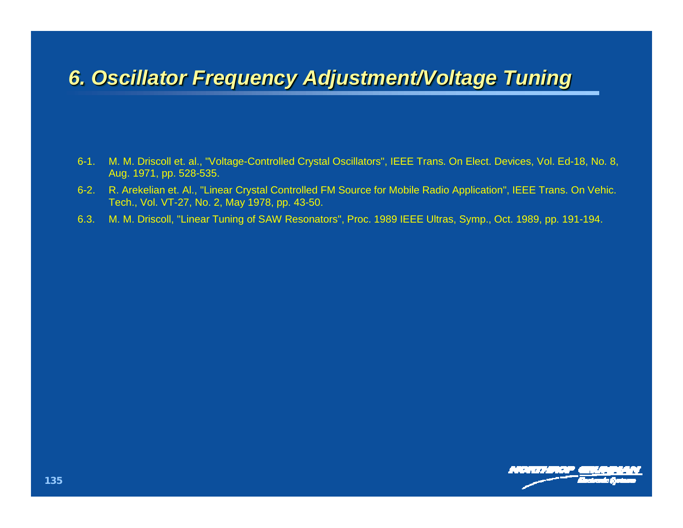#### 6. Oscillator Frequency Adjustment/Voltage Tuning

- 6-1. M. M. Driscoll et. al., "Voltage-Controlled Crystal Oscillators", IEEE Trans. On Elect. Devices, Vol. Ed-18, No. 8, Aug. 1971, pp. 528-535.
- 6-2. R. Arekelian et. Al., "Linear Crystal Controlled FM Source for Mobile Radio Application", IEEE Trans. On Vehic. Tech., Vol. VT-27, No. 2, May 1978, pp. 43-50.
- M. M. Driscoll, "Linear Tuning of SAW Resonators", Proc. 1989 IEEE Ultras, Symp., Oct. 1989, pp. 191-194.  $6.3.$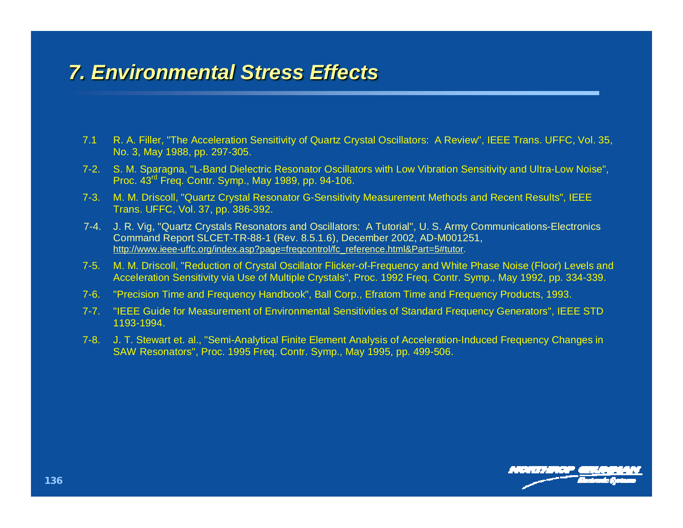#### **7. Environmental Stress Effects**

- $7.1$ R. A. Filler, "The Acceleration Sensitivity of Quartz Crystal Oscillators: A Review", IEEE Trans. UFFC, Vol. 35, No. 3, May 1988, pp. 297-305.
- 7-2. S. M. Sparagna, "L-Band Dielectric Resonator Oscillators with Low Vibration Sensitivity and Ultra-Low Noise", Proc. 43<sup>rd</sup> Freq. Contr. Symp., May 1989, pp. 94-106.
- 7-3. M. M. Driscoll, "Quartz Crystal Resonator G-Sensitivity Measurement Methods and Recent Results", IEEE Trans. UFFC, Vol. 37, pp. 386-392.
- 7-4. J. R. Vig, "Quartz Crystals Resonators and Oscillators: A Tutorial", U. S. Army Communications-Electronics Command Report SLCET-TR-88-1 (Rev. 8.5.1.6), December 2002, AD-M001251, http://www.ieee-uffc.org/index.asp?page=fregcontrol/fc\_reference.html&Part=5#tutor.
- M. M. Driscoll, "Reduction of Crystal Oscillator Flicker-of-Frequency and White Phase Noise (Floor) Levels and  $7-5.$ Acceleration Sensitivity via Use of Multiple Crystals", Proc. 1992 Freq. Contr. Symp., May 1992, pp. 334-339.
- "Precision Time and Frequency Handbook", Ball Corp., Efratom Time and Frequency Products, 1993.  $7-6.$
- 7-7. "IEEE Guide for Measurement of Environmental Sensitivities of Standard Frequency Generators", IEEE STD 1193-1994.
- 7-8. J. T. Stewart et. al., "Semi-Analytical Finite Element Analysis of Acceleration-Induced Frequency Changes in SAW Resonators", Proc. 1995 Freq. Contr. Symp., May 1995, pp. 499-506.

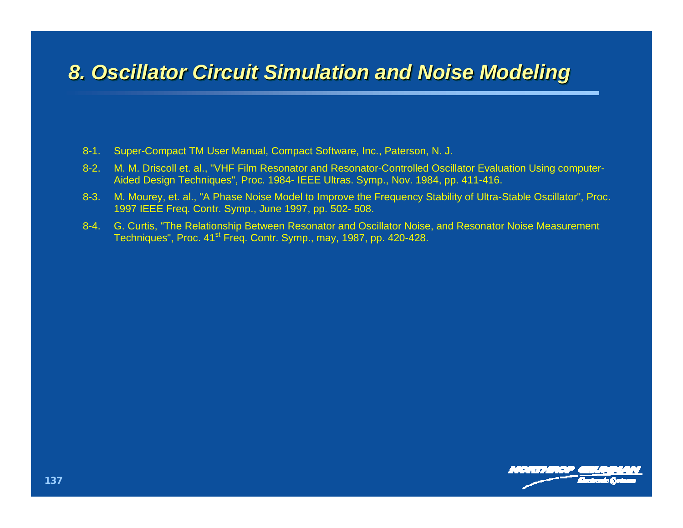#### **8. Oscillator Circuit Simulation and Noise Modeling**

- 8-1. Super-Compact TM User Manual, Compact Software, Inc., Paterson, N. J.
- 8-2. M. M. Driscoll et. al., "VHF Film Resonator and Resonator-Controlled Oscillator Evaluation Using computer-Aided Design Techniques", Proc. 1984- IEEE Ultras. Symp., Nov. 1984, pp. 411-416.
- 8-3. M. Mourey, et. al., "A Phase Noise Model to Improve the Frequency Stability of Ultra-Stable Oscillator", Proc. 1997 IEEE Freq. Contr. Symp., June 1997, pp. 502- 508.
- 8-4. G. Curtis, "The Relationship Between Resonator and Oscillator Noise, and Resonator Noise Measurement Techniques", Proc. 41<sup>st</sup> Freq. Contr. Symp., may, 1987, pp. 420-428.